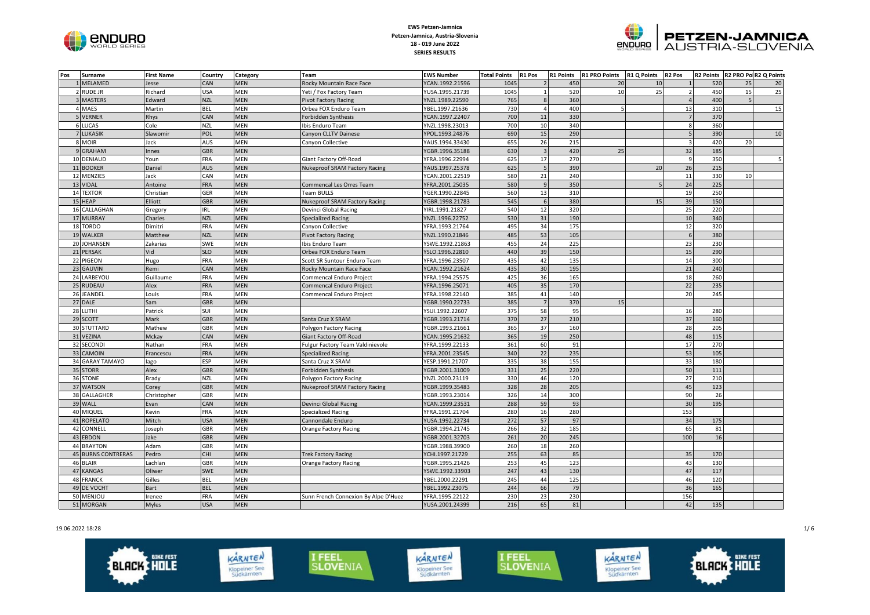



| Pos | Surname                | <b>First Name</b> | Country    | Category   | <b>Team</b>                          | <b>EWS Number</b> | <b>Total Points</b> | R1 Pos                  | <b>R1 Points</b> | R1 PRO Points R1 Q Points R2 Pos |    |                         |            | R2 Points R2 PRO Po R2 Q Points |    |
|-----|------------------------|-------------------|------------|------------|--------------------------------------|-------------------|---------------------|-------------------------|------------------|----------------------------------|----|-------------------------|------------|---------------------------------|----|
|     | 1 MELAMED              | Jesse             | CAN        | <b>MEN</b> | Rocky Mountain Race Face             | YCAN.1992.21596   | 1045                |                         | 450              | 20                               | 10 |                         | 520        | 25                              | 20 |
|     | 2 RUDE JR              | Richard           | USA        | <b>MEN</b> | Yeti / Fox Factory Team              | YUSA.1995.21739   | 1045                |                         | 520              | 10                               | 25 |                         | 450        | 15                              | 25 |
|     | 3 MASTERS              | Edward            | <b>NZL</b> | MEN        | <b>Pivot Factory Racing</b>          | YNZL.1989.22590   | 765                 |                         | 360              |                                  |    |                         | 400        |                                 |    |
|     | 4 MAES                 | Martin            | <b>BEL</b> | MEN        | Orbea FOX Enduro Team                | YBEL.1997.21636   | 730                 |                         | 400              |                                  |    | 13                      | 310        |                                 | 15 |
|     | 5 VERNER               | Rhys              | CAN        | <b>MEN</b> | Forbidden Synthesis                  | YCAN.1997.22407   | 700                 | 11                      | 330              |                                  |    |                         | 370        |                                 |    |
|     | 6 LUCAS                | Cole              | <b>NZL</b> | <b>MEN</b> | Ibis Enduro Team                     | YNZL.1998.23013   | 700                 | 10                      | 340              |                                  |    | $\mathbf{R}$            | 360        |                                 |    |
|     | <b>7 LUKASIK</b>       | Slawomir          | POL        | MEN        | Canyon CLLTV Dainese                 | YPOL.1993.24876   | 690                 | 15                      | 290              |                                  |    |                         | 390        |                                 | 10 |
|     | 8 MOIR                 | Jack              | AUS        | MEN        | Canyon Collective                    | YAUS.1994.33430   | 655                 | 26                      | 215              |                                  |    | $\overline{\mathbf{3}}$ | 420        | 20                              |    |
|     | 9 GRAHAM               | Innes             | <b>GBR</b> | <b>MEN</b> |                                      | YGBR.1996.35188   | 630                 | $\overline{\mathbf{3}}$ | 420              | 25                               |    | 32                      | 185        |                                 |    |
|     | 10 DENIAUD             | Youn              | <b>FRA</b> | <b>MEN</b> | Giant Factory Off-Road               | YFRA.1996.22994   | 625                 | 17                      | 270              |                                  |    | $\mathsf{q}$            | 350        |                                 |    |
|     | 11 BOOKER              | Daniel            | <b>AUS</b> | MEN        | <b>Nukeproof SRAM Factory Racing</b> | YAUS.1997.25378   | 625                 | 5                       | 390              |                                  | 20 | 26                      | 215        |                                 |    |
|     | 12 MENZIES             | Jack              | CAN        | MEN        |                                      | YCAN.2001.22519   | 580                 | 21                      | 240              |                                  |    | 11                      | 330        | 10                              |    |
|     | 13 VIDAL               | Antoine           | <b>FRA</b> | <b>MEN</b> | Commencal Les Orres Team             | YFRA.2001.25035   | 580                 | $\mathsf{q}$            | 350              |                                  |    | 24                      | 225        |                                 |    |
|     | 14 TEXTOR              | Christian         | GER        | <b>MEN</b> | Team BULLS                           | YGER.1990.22845   | 560                 | 13                      | 310              |                                  |    | 19                      | 250        |                                 |    |
|     | 15 HEAP                | Elliott           | <b>GBR</b> | <b>MEN</b> | <b>Nukeproof SRAM Factory Racing</b> | YGBR.1998.21783   | 545                 | 6                       | 380              |                                  | 15 | 39                      | 150        |                                 |    |
|     | 16 CALLAGHAN           | Gregory           | IRL        | <b>MEN</b> | Devinci Global Racing                | YIRL.1991.21827   | 540                 | 12                      | 320              |                                  |    | 25                      | 220        |                                 |    |
|     | 17 MURRAY              | Charles           | <b>NZL</b> | <b>MEN</b> | Specialized Racing                   | YNZL.1996.22752   | 530                 | 31                      | 190              |                                  |    | 10                      | 340        |                                 |    |
|     | 18 TORDO               | Dimitri           | FRA        | <b>MEN</b> | Canyon Collective                    | YFRA.1993.21764   | 495                 | 34                      | 175              |                                  |    | 12                      | 320        |                                 |    |
|     | 19 WALKER              | Matthew           | <b>NZL</b> | MEN        | <b>Pivot Factory Racing</b>          | YNZL.1990.21846   | 485                 | 53                      | 105              |                                  |    |                         | <b>380</b> |                                 |    |
|     | 20 JOHANSEN            | Zakarias          | SWE        | MEN        | Ibis Enduro Team                     | YSWE.1992.21863   | 455                 | 24                      | 225              |                                  |    | 23                      | 230        |                                 |    |
|     | 21 PERSAK              | Vid               | <b>SLO</b> | MEN        | Orbea FOX Enduro Team                | YSLO.1996.22810   | 440                 | 39                      | 150              |                                  |    | 15                      | 290        |                                 |    |
|     | 22 PIGEON              | Hugo              | <b>FRA</b> | <b>MEN</b> | Scott SR Suntour Enduro Team         | YFRA.1996.23507   | 435                 | 42                      | 135              |                                  |    | 14                      | 300        |                                 |    |
| 23  | <b>GAUVIN</b>          | Remi              | CAN        | <b>MEN</b> | Rocky Mountain Race Face             | YCAN.1992.21624   | 435                 | 30                      | 195              |                                  |    | 21                      | 240        |                                 |    |
|     | 24 LARBEYOU            | Guillaume         | <b>FRA</b> | <b>MEN</b> | Commencal Enduro Project             | YFRA.1994.25575   | 425                 | 36                      | 165              |                                  |    | 18                      | 260        |                                 |    |
|     | 25 RUDEAU              | Alex              | <b>FRA</b> | MEN        | Commencal Enduro Project             | YFRA.1996.25071   | 405                 | 35                      | 170              |                                  |    | 22                      | 235        |                                 |    |
|     | 26 JEANDEL             | Louis             | <b>FRA</b> | <b>MEN</b> | Commencal Enduro Project             | YFRA.1998.22140   | 385                 | 41                      | 140              |                                  |    | 20                      | 245        |                                 |    |
|     | 27 DALE                | Sam               | <b>GBR</b> | <b>MEN</b> |                                      | YGBR.1990.22733   | 385                 | $\overline{7}$          | 370              | 15                               |    |                         |            |                                 |    |
|     | 28 LUTHI               | Patrick           | SUI        | <b>MEN</b> |                                      | YSUI.1992.22607   | 375                 | 58                      | 95               |                                  |    | 16                      | 280        |                                 |    |
|     | 29 SCOTT               | Mark              | GBR        | MEN        | Santa Cruz X SRAM                    | YGBR.1993.21714   | 370                 | 27                      | 210              |                                  |    | 37                      | 160        |                                 |    |
|     | 30 STUTTARD            | Mathew            | GBR        | MEN        | Polygon Factory Racing               | YGBR.1993.21661   | 365                 | 37                      | 160              |                                  |    | 28                      | 205        |                                 |    |
|     | 31 VEZINA              | Mckay             | CAN        | <b>MEN</b> | <b>Giant Factory Off-Road</b>        | YCAN.1995.21632   | 365                 | 19                      | 250              |                                  |    | 48                      | 115        |                                 |    |
|     | 32 SECONDI             | Nathan            | FRA        | <b>MEN</b> | Fulgur Factory Team Valdinievole     | YFRA.1999.22133   | 361                 | 60                      | 91               |                                  |    | 17                      | 270        |                                 |    |
|     | 33 CAMOIN              | Francescu         | <b>FRA</b> | <b>MEN</b> | Specialized Racing                   | YFRA.2001.23545   | 340                 | 22                      | 235              |                                  |    | 53                      | 105        |                                 |    |
|     | 34 GARAY TAMAYO        | lago              | ESP        | MEN        | Santa Cruz X SRAM                    | YESP.1991.21707   | 335                 | 38                      | 155              |                                  |    | 33                      | 180        |                                 |    |
|     | 35 STORR               | Alex              | <b>GBR</b> | <b>MEN</b> | Forbidden Synthesis                  | YGBR.2001.31009   | 331                 | 25                      | 220              |                                  |    | 50                      | 111        |                                 |    |
| 36  | <b>STONE</b>           | Brady             | <b>NZL</b> | <b>MEN</b> | Polygon Factory Racing               | YNZL.2000.23119   | 330                 | 46                      | 120              |                                  |    | 27                      | 210        |                                 |    |
|     | 37 WATSON              | Corey             | <b>GBR</b> | MEN        | Nukeproof SRAM Factory Racing        | YGBR.1999.35483   | 328                 | 28                      | 205              |                                  |    | 45                      | 123        |                                 |    |
|     | 38 GALLAGHER           | Christopher       | GBR        | MEN        |                                      | YGBR.1993.23014   | 326                 | 14                      | 300              |                                  |    | 90                      | 26         |                                 |    |
|     | 39 WALL                | Evan              | CAN        | MEN        | Devinci Global Racing                | YCAN.1999.23531   | 288                 | 59                      | 93               |                                  |    | 30                      | 195        |                                 |    |
|     | 40 MIQUEL              | Kevin             | <b>FRA</b> | <b>MEN</b> | Specialized Racing                   | YFRA.1991.21704   | 280                 | 16                      | 280              |                                  |    | 153                     |            |                                 |    |
| 41  | <b>ROPELATO</b>        | Mitch             | <b>USA</b> | <b>MEN</b> | Cannondale Enduro                    | YUSA.1992.22734   | 272                 | 57                      | 97               |                                  |    | 34                      | 175        |                                 |    |
|     | 42 CONNELL             | Joseph            | GBR        | <b>MEN</b> | Orange Factory Racing                | YGBR.1994.21745   | 266                 | 32                      | 185              |                                  |    | 65                      | 81         |                                 |    |
|     | 43 EBDON               | Jake              | <b>GBR</b> | <b>MEN</b> |                                      | YGBR.2001.32703   | 261                 | 20                      | 245              |                                  |    | 100                     | 16         |                                 |    |
|     | 44 BRAYTON             | Adam              | GBR        | <b>MEN</b> |                                      | YGBR.1988.39900   | 260                 | 18                      | 260              |                                  |    |                         |            |                                 |    |
| 45  | <b>BURNS CONTRERAS</b> | Pedro             | CHI        | MEN        | <b>Trek Factory Racing</b>           | YCHI.1997.21729   | 255                 | 63                      | 85               |                                  |    | 35                      | 170        |                                 |    |
|     | 46 BLAIR               | Lachlan           | GBR        | MEN        | <b>Orange Factory Racing</b>         | YGBR.1995.21426   | 253                 | 45                      | 123              |                                  |    | 43                      | 130        |                                 |    |
| 47  | <b>KANGAS</b>          | Oliwer            | SWE        | MEN        |                                      | YSWE.1992.33903   | 247                 | 43                      | 130              |                                  |    | 47                      | 117        |                                 |    |
| 48  | <b>FRANCK</b>          | Gilles            | <b>BEL</b> | <b>MEN</b> |                                      | YBEL.2000.22291   | 245                 | 44                      | 125              |                                  |    | 46                      | 120        |                                 |    |
| 49  | DE VOCHT               | <b>Bart</b>       | <b>BEL</b> | <b>MEN</b> |                                      | YBEL.1992.23075   | 244                 | 66                      | 79               |                                  |    | 36                      | 165        |                                 |    |
| 50  | MENJOU                 | Irenee            | FRA        | <b>MEN</b> | Sunn French Connexion By Alpe D'Huez | YFRA.1995.22122   | 230                 | 23                      | 230              |                                  |    | 156                     |            |                                 |    |
|     | 51 MORGAN              | <b>Myles</b>      | <b>USA</b> | <b>MEN</b> |                                      | YUSA.2001.24399   | 216                 | 65                      | 81               |                                  |    | 42                      | 135        |                                 |    |

19.06.2022 18:28 1/ 6

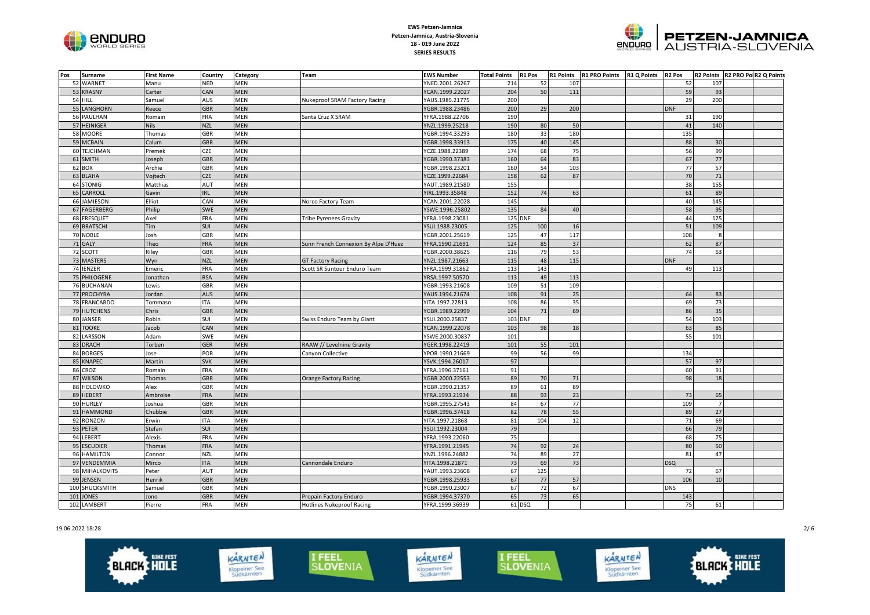



| Pos | Surname        | <b>First Name</b> | Country    | Category   | Team                                 | <b>EWS Number</b> | <b>Total Points</b> | R1 Pos         | <b>R1 Points</b> | <b>R1 PRO Points</b> | <b>R1 Q Points</b> | R <sub>2</sub> Pos |                | R2 Points R2 PRO Po R2 Q Points |  |
|-----|----------------|-------------------|------------|------------|--------------------------------------|-------------------|---------------------|----------------|------------------|----------------------|--------------------|--------------------|----------------|---------------------------------|--|
|     | 52 WARNET      | Manu              | NED        | MEN        |                                      | YNED.2001.26267   | 214                 | 52             | 107              |                      |                    | 52                 | 107            |                                 |  |
|     | 53 KRASNY      | Carter            | CAN        | <b>MEN</b> |                                      | YCAN.1999.22027   | 204                 | 50             | 111              |                      |                    | 59                 | 93             |                                 |  |
|     | 54 HILL        | Samuel            | AUS        | MEN        | Nukeproof SRAM Factory Racing        | YAUS.1985.21775   | 200                 |                |                  |                      |                    | 29                 | 200            |                                 |  |
|     | 55 LANGHORN    | Reece             | <b>GBR</b> | <b>MEN</b> |                                      | YGBR.1988.23486   | 200                 | 29             | 200              |                      |                    | <b>DNF</b>         |                |                                 |  |
|     | 56 PAULHAN     | Romain            | <b>FRA</b> | MEN        | Santa Cruz X SRAM                    | YFRA.1988.22706   | 190                 |                |                  |                      |                    | 31                 | 190            |                                 |  |
|     | 57 HEINIGER    | <b>Nils</b>       | <b>NZL</b> | <b>MEN</b> |                                      | YNZL.1999.25218   | 190                 | 80             | 50               |                      |                    | 41                 | 140            |                                 |  |
|     | 58 MOORE       | Thomas            | GBR        | MEN        |                                      | YGBR.1994.33293   | 180                 | 33             | 180              |                      |                    | 135                |                |                                 |  |
|     | 59 MCBAIN      | Calum             | <b>GBR</b> | MEN        |                                      | YGBR.1998.33913   | 175                 | 40             | 145              |                      |                    | 88                 | 30             |                                 |  |
|     | 60 TEJCHMAN    | Premek            | CZE        | <b>MEN</b> |                                      | YCZE.1988.22389   | 174                 | 68             | 75               |                      |                    | 56                 | 99             |                                 |  |
|     | 61 SMITH       | Joseph            | <b>GBR</b> | <b>MEN</b> |                                      | YGBR.1990.37383   | 160                 | 64             | 83               |                      |                    | 67                 | 77             |                                 |  |
|     | 62 BOX         | Archie            | GBR        | MEN        |                                      | YGBR.1998.23201   | 160                 | 54             | 103              |                      |                    | 77                 | 57             |                                 |  |
|     | 63 BLAHA       | Vojtech           | <b>CZE</b> | MEN        |                                      | YCZE.1999.22684   | 158                 | 62             | 87               |                      |                    | 70                 | 71             |                                 |  |
|     | 64 STONIG      | Matthias          | AUT        | <b>MEN</b> |                                      | YAUT.1989.21580   | 155                 |                |                  |                      |                    | 38                 | 155            |                                 |  |
| 65  | CARROLL        | Gavin             | <b>IRL</b> | <b>MEN</b> |                                      | YIRL.1993.35848   | 152                 | 74             | 63               |                      |                    | 61                 | 89             |                                 |  |
|     | 66 JAMIESON    | Elliot            | CAN        | MEN        | Norco Factory Team                   | YCAN.2001.22028   | 145                 |                |                  |                      |                    | 40                 | 145            |                                 |  |
|     | 67 FAGERBERG   | Philip            | SWE        | <b>MEN</b> |                                      | YSWE.1996.25802   | 135                 | 84             | 40               |                      |                    | 58                 | 95             |                                 |  |
|     | 68 FRESQUET    | Axel              | FRA        | MEN        | Tribe Pyrenees Gravity               | YFRA.1998.23081   |                     | <b>125 DNF</b> |                  |                      |                    | 44                 | 125            |                                 |  |
|     | 69 BRATSCHI    | Tim               | <b>SUI</b> | <b>MEN</b> |                                      | YSUI.1988.23005   | 125                 | 100            | 16               |                      |                    | 51                 | 109            |                                 |  |
|     | 70 NOBLE       | Josh              | GBR        | MEN        |                                      | YGBR.2001.25619   | 125                 | 47             | 117              |                      |                    | 108                | 8              |                                 |  |
|     | 71 GALY        | Theo              | <b>FRA</b> | <b>MEN</b> | Sunn French Connexion By Alpe D'Huez | YFRA.1990.21691   | 124                 | 85             | 37               |                      |                    | 62                 | 87             |                                 |  |
|     | 72 SCOTT       | Riley             | GBR        | MEN        |                                      | YGBR.2000.38625   | 116                 | 79             | 53               |                      |                    | 74                 | 63             |                                 |  |
|     | 73 MASTERS     | Wyn               | <b>NZL</b> | <b>MEN</b> | <b>GT Factory Racing</b>             | YNZL.1987.21663   | 115                 | 48             | 115              |                      |                    | <b>DNF</b>         |                |                                 |  |
|     | 74 IENZER      | Emeric            | <b>FRA</b> | <b>MEN</b> | Scott SR Suntour Enduro Team         | YFRA.1999.31862   | 113                 | 143            |                  |                      |                    | 49                 | 113            |                                 |  |
|     | 75 PHILOGENE   | Jonathan          | <b>RSA</b> | <b>MEN</b> |                                      | YRSA.1997.50570   | 113                 | 49             | 113              |                      |                    |                    |                |                                 |  |
|     | 76 BUCHANAN    | Lewis             | GBR        | MEN        |                                      | YGBR.1993.21608   | 109                 | 51             | 109              |                      |                    |                    |                |                                 |  |
|     | 77 PROCHYRA    | Jordan            | <b>AUS</b> | MEN        |                                      | YAUS.1994.21674   | 108                 | 91             | 25               |                      |                    | 64                 | 83             |                                 |  |
|     | 78 FRANCARDO   | Tommaso           | <b>ITA</b> | <b>MEN</b> |                                      | YITA.1997.22813   | 108                 | 86             | 35               |                      |                    | 69                 | 73             |                                 |  |
|     | 79 HUTCHENS    | Chris             | <b>GBR</b> | <b>MEN</b> |                                      | YGBR.1989.22999   | 104                 | 71             | 69               |                      |                    | 86                 | 35             |                                 |  |
|     | 80 JANSER      | Robin             | SUI        | MEN        | Swiss Enduro Team by Giant           | YSUI.2000.25837   |                     | 103 DNF        |                  |                      |                    | 54                 | 103            |                                 |  |
| 81  | <b>TOOKE</b>   | Jacob             | CAN        | <b>MEN</b> |                                      | YCAN.1999.22078   | 103                 | 98             | 18               |                      |                    | 63                 | 85             |                                 |  |
|     | 82 LARSSON     | Adam              | SWE        | <b>MEN</b> |                                      | YSWE.2000.30837   | 101                 |                |                  |                      |                    | 55                 | 101            |                                 |  |
|     | 83 DRACH       | Torben            | GER        | MEN        | RAAW // Levelnine Gravity            | YGER.1998.22419   | 101                 | 55             | 101              |                      |                    |                    |                |                                 |  |
|     | 84 BORGES      | Jose              | POR        | MEN        | Canyon Collective                    | YPOR.1990.21669   | 99                  | 56             | 99               |                      |                    | 134                |                |                                 |  |
|     | 85 KNAPEC      | Martin            | <b>SVK</b> | <b>MEN</b> |                                      | YSVK.1994.26017   | 97                  |                |                  |                      |                    | 57                 | 97             |                                 |  |
|     | 86 CROZ        | Romain            | FRA        | MEN        |                                      | YFRA.1996.37161   | 91                  |                |                  |                      |                    | 60                 | 91             |                                 |  |
|     | 87 WILSON      | Thomas            | <b>GBR</b> | <b>MEN</b> | <b>Orange Factory Racing</b>         | YGBR.2000.22553   | 89                  | 70             | 71               |                      |                    | 98                 | 18             |                                 |  |
|     | 88 HOLOWKO     | Alex              | GBR        | MEN        |                                      | YGBR.1990.21357   | 89                  | 61             | 89               |                      |                    |                    |                |                                 |  |
|     | 89 HEBERT      | Ambroise          | <b>FRA</b> | <b>MEN</b> |                                      | YFRA.1993.21934   | 88                  | 93             | 23               |                      |                    | 73                 | 65             |                                 |  |
|     | 90 HURLEY      | Joshua            | <b>GBR</b> | MEN        |                                      | YGBR.1995.27543   | 84                  | 67             | 77               |                      |                    | 109                | $\overline{7}$ |                                 |  |
|     | 91 HAMMOND     | Chubbie           | <b>GBR</b> | <b>MEN</b> |                                      | YGBR.1996.37418   | 82                  | 78             | 55               |                      |                    | 89                 | 27             |                                 |  |
|     | 92 RONZON      | Erwin             | <b>ITA</b> | <b>MEN</b> |                                      | YITA.1997.21868   | 81                  | 104            | 12               |                      |                    | 71                 | 69             |                                 |  |
|     | 93 PETER       | Stefan            | SUI        | <b>MEN</b> |                                      | YSUI.1992.23004   | 79                  |                |                  |                      |                    | 66                 | 79             |                                 |  |
|     | 94 LEBERT      | Alexis            | FRA        | MEN        |                                      | YFRA.1993.22060   | 75                  |                |                  |                      |                    | 68                 | 75             |                                 |  |
|     | 95 ESCUDIER    | Thomas            | <b>FRA</b> | <b>MEN</b> |                                      | YFRA.1991.21945   | 74                  | 92             | 24               |                      |                    | 80                 | 50             |                                 |  |
|     | 96 HAMILTON    | Connor            | <b>NZL</b> | MEN        |                                      | YNZL.1996.24882   | 74                  | 89             | 27               |                      |                    | 81                 | 47             |                                 |  |
|     | 97 VENDEMMIA   | Mirco             | <b>ITA</b> | <b>MEN</b> | Cannondale Enduro                    | YITA.1998.21871   | 73                  | 69             | 73               |                      |                    | <b>DSQ</b>         |                |                                 |  |
|     | 98 MIHALKOVITS | Peter             | AUT        | MEN        |                                      | YAUT.1993.23608   | 67                  | 125            |                  |                      |                    | 72                 | 67             |                                 |  |
|     | 99 JENSEN      | Henrik            | <b>GBR</b> | <b>MEN</b> |                                      | YGBR.1998.25933   | 67                  | 77             | 57               |                      |                    | 106                | 10             |                                 |  |
|     | 100 SHUCKSMITH | Samuel            | GBR        | MEN        |                                      | YGBR.1990.23007   | 67                  | 72             | 67               |                      |                    | <b>DNS</b>         |                |                                 |  |
| 101 | <b>JONES</b>   | Jono              | <b>GBR</b> | <b>MEN</b> | Propain Factory Enduro               | YGBR.1994.37370   | 65                  | 73             | 65               |                      |                    | 143                |                |                                 |  |
|     | 102 LAMBERT    | Pierre            | <b>FRA</b> | MEN        | <b>Hotlines Nukeproof Racing</b>     | YFRA.1999.36939   |                     | 61 DSQ         |                  |                      |                    | 75                 | 61             |                                 |  |

19.06.2022 18:28 2/ 6

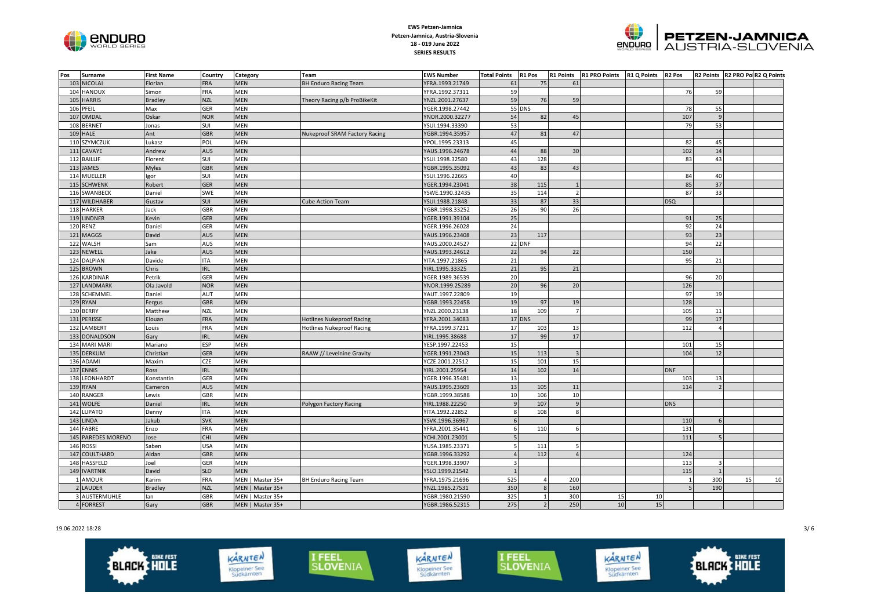



| <b>FRA</b><br><b>MEN</b><br>61<br>103 NICOLAI<br><b>BH Enduro Racing Team</b><br>YFRA.1993.21749<br>75<br>61<br>Florian<br>59<br>HANOUX<br>FRA<br>MEN<br>YFRA.1992.37311<br>Simon<br>76<br>59<br>104<br>59<br><b>HARRIS</b><br><b>MEN</b><br>76<br>59<br><b>Bradley</b><br><b>NZL</b><br>Theory Racing p/b ProBikeKit<br>YNZL.2001.27637<br>105<br>PFEIL<br>Max<br><b>GER</b><br><b>MEN</b><br>YGER.1998.27442<br><b>55 DNS</b><br>55<br>106<br>78<br>54<br>82<br>45<br>OMDAL<br>Oskar<br><b>NOR</b><br><b>MEN</b><br>107<br>107<br>YNOR.2000.32277<br>$\alpha$<br><b>MEN</b><br>53<br>53<br>108<br><b>BERNET</b><br>Jonas<br>SUI<br>YSUI.1994.33390<br>79<br>47<br>81<br>47<br><b>HALE</b><br><b>GBR</b><br><b>MEN</b><br>109<br>Ant<br><b>Nukeproof SRAM Factory Racing</b><br>YGBR.1994.35957<br>110 SZYMCZUK<br>MEN<br>45<br>Lukasz<br>POL<br>YPOL.1995.23313<br>82<br>45<br>44<br>14<br>AUS<br><b>MEN</b><br>88<br>30<br>102<br>111<br>CAVAYE<br>Andrew<br>YAUS.1996.24678<br>43<br>128<br>112 BAILLIF<br>SUI<br>MEN<br>YSUI.1998.32580<br>83<br>43<br>Florent<br>43<br>83<br>113 JAMES<br><b>Myles</b><br><b>GBR</b><br><b>MEN</b><br>43<br>YGBR.1995.35092<br>114 MUELLER<br>SUI<br><b>MEN</b><br>40<br>gor<br>YSUI.1996.22665<br>84<br>40<br>38<br>37<br><b>GER</b><br>85<br>115 SCHWENK<br>Robert<br><b>MEN</b><br>YGER.1994.23041<br>115<br>35<br>33<br>116 SWANBECK<br>Daniel<br>SWE<br><b>MEN</b><br>114<br>87<br>YSWE.1990.32435<br>$\overline{2}$<br>33<br>SUI<br><b>MEN</b><br>33<br>117 WILDHABER<br>Gustav<br><b>Cube Action Team</b><br>YSUI.1988.21848<br>87<br><b>DSQ</b><br>118 HARKER<br>Jack<br>GBR<br>MEN<br>26<br>90<br>26<br>YGBR.1998.33252<br>25<br><b>LINDNER</b><br><b>GER</b><br><b>MEN</b><br>91<br>25<br>Kevin<br>YGER.1991.39104<br>119<br><b>120 RENZ</b><br>GER<br>MEN<br>24<br>92<br>24<br>Daniel<br>YGER.1996.26028<br>23<br>23<br>David<br>93<br>121 MAGGS<br>AUS<br><b>MEN</b><br>YAUS.1996.23408<br>117<br>22 DNF<br>22<br>122 WALSH<br>AUS<br><b>MEN</b><br>94<br>Sam<br>YAUS.2000.24527<br>22<br>123 NEWELL<br>lake<br>MEN<br>94<br>22<br>150<br>AUS<br>YAUS.1993.24612<br>21<br>124 DALPIAN<br>Davide<br><b>ITA</b><br>MEN<br>YITA.1997.21865<br>95<br>21<br>21<br><b>BROWN</b><br>Chris<br><b>IRL</b><br><b>MEN</b><br>95<br>21<br>125<br>YIRL.1995.33325<br>126 KARDINAR<br>Petrik<br>GER<br>MEN<br>YGER.1989.36539<br>20<br>96<br>20<br>96<br>Ola Javold<br><b>NOR</b><br><b>MEN</b><br>20<br>20<br>126<br>127<br>LANDMARK<br>YNOR.1999.25289<br>128 SCHEMMEL<br>Daniel<br>AUT<br><b>MEN</b><br>YAUT.1997.22809<br>19<br>97<br>19<br>19<br><b>GBR</b><br><b>MEN</b><br>97<br>128<br>129 RYAN<br>YGBR.1993.22458<br>19<br>Fergus<br>18<br>109<br>130 BERRY<br>MEN<br>105<br>Matthew<br>NZL<br>YNZL.2000.23138<br>11<br>17 DNS<br>17<br><b>PERISSE</b><br><b>FRA</b><br><b>MEN</b><br>99<br>131<br>Elouan<br><b>Hotlines Nukeproof Racing</b><br>YFRA.2001.34083<br>FRA<br>17<br>LAMBERT<br>MEN<br>YFRA.1999.37231<br>112<br>132<br>Louis<br><b>Hotlines Nukeproof Racing</b><br>103<br>13<br>17<br>17<br>133<br><b>DONALDSON</b><br>Gary<br><b>IRL</b><br><b>MEN</b><br>YIRL.1995.38688<br>99<br>15<br>Mariano<br>ESP<br><b>MEN</b><br>134<br><b>MARI MARI</b><br>YESP.1997.22453<br>101<br>15<br><b>GER</b><br>15<br>12<br>135<br><b>DERKUM</b><br>Christian<br><b>MEN</b><br>RAAW // Levelnine Gravity<br>YGER.1991.23043<br>113<br>104<br>136 ADAMI<br><b>MEN</b><br>15<br>15<br>Maxim<br><b>CZE</b><br>YCZE.2001.22512<br>101<br><b>MEN</b><br>14<br>102<br>14<br><b>DNF</b><br>137 ENNIS<br><b>IRL</b><br>YIRL.2001.25954<br>Ross<br>13<br>LEONHARDT<br>GER<br><b>MEN</b><br>103<br>138<br>Konstantin<br>YGER.1996.35481<br>13<br>13<br>RYAN<br><b>MEN</b><br>YAUS.1995.23609<br>114<br>139<br>Cameron<br>AUS<br>105<br>11<br>140 RANGER<br>Lewis<br>GBR<br>MEN<br>YGBR.1999.38588<br>10<br>106<br>10<br>141 WOLFE<br>Daniel<br><b>MEN</b><br>107<br>$\mathbf{q}$<br><b>DNS</b><br><b>IRL</b><br>Polygon Factory Racing<br>YIRL.1988.22250<br>142<br>LUPATO<br><b>ITA</b><br><b>MEN</b><br>YITA.1992.22852<br>$\mathbf{R}$<br>108<br>Denny<br>8<br>Jakub<br><b>SVK</b><br><b>MEN</b><br>143<br>LINDA<br>YSVK.1996.36967<br>$\mathsf{G}$<br>110<br>6<br>FABRE<br>FRA<br>MEN<br>YFRA.2001.35441<br>110<br>131<br>144<br>Enzo<br>6<br>6<br>111<br>145 PAREDES MORENO<br>Jose<br><b>CHI</b><br><b>MEN</b><br>YCHI.2001.23001<br>146 ROSSI<br><b>USA</b><br><b>MEN</b><br>111<br>Saben<br>YUSA.1985.23371<br>5<br>112<br>COULTHARD<br>Aidan<br><b>GBR</b><br><b>MEN</b><br>YGBR.1996.33292<br>124<br>147<br>$\Delta$<br>148 HASSFELD<br>Joel<br><b>MEN</b><br>113<br>GER<br>YGER.1998.33907<br><b>SLO</b><br><b>MEN</b><br>115<br>149 IVARTNIK<br>David<br>YSLO.1999.21542<br>1 AMOUR<br><b>FRA</b><br>525<br>15<br>Karim<br>MEN   Master 35+<br><b>BH Enduro Racing Team</b><br>YFRA.1975.21696<br>200<br>300<br>10<br>2 LAUDER<br><b>NZL</b><br>MEN   Master 35+<br>350<br>160<br>5<br>190<br><b>Bradley</b><br>YNZL.1985.27531<br>325<br>300<br>3 AUSTERMUHLE<br>GBR<br>MEN   Master 35+<br>YGBR.1980.21590<br>15<br>10<br>lan<br>4 FORREST<br>275<br>250<br>15<br>Gary<br><b>GBR</b><br>MEN   Master 35+<br>YGBR.1986.52315<br>$\overline{2}$<br>10 | Pos | <b>Surname</b> | <b>First Name</b> | Country | Category | Team | <b>EWS Number</b> | <b>Total Points R1 Pos</b> |  | R1 Points R1 PRO Points R1 Q Points R2 Pos |  | R2 Points R2 PRO Po R2 Q Points |  |
|-------------------------------------------------------------------------------------------------------------------------------------------------------------------------------------------------------------------------------------------------------------------------------------------------------------------------------------------------------------------------------------------------------------------------------------------------------------------------------------------------------------------------------------------------------------------------------------------------------------------------------------------------------------------------------------------------------------------------------------------------------------------------------------------------------------------------------------------------------------------------------------------------------------------------------------------------------------------------------------------------------------------------------------------------------------------------------------------------------------------------------------------------------------------------------------------------------------------------------------------------------------------------------------------------------------------------------------------------------------------------------------------------------------------------------------------------------------------------------------------------------------------------------------------------------------------------------------------------------------------------------------------------------------------------------------------------------------------------------------------------------------------------------------------------------------------------------------------------------------------------------------------------------------------------------------------------------------------------------------------------------------------------------------------------------------------------------------------------------------------------------------------------------------------------------------------------------------------------------------------------------------------------------------------------------------------------------------------------------------------------------------------------------------------------------------------------------------------------------------------------------------------------------------------------------------------------------------------------------------------------------------------------------------------------------------------------------------------------------------------------------------------------------------------------------------------------------------------------------------------------------------------------------------------------------------------------------------------------------------------------------------------------------------------------------------------------------------------------------------------------------------------------------------------------------------------------------------------------------------------------------------------------------------------------------------------------------------------------------------------------------------------------------------------------------------------------------------------------------------------------------------------------------------------------------------------------------------------------------------------------------------------------------------------------------------------------------------------------------------------------------------------------------------------------------------------------------------------------------------------------------------------------------------------------------------------------------------------------------------------------------------------------------------------------------------------------------------------------------------------------------------------------------------------------------------------------------------------------------------------------------------------------------------------------------------------------------------------------------------------------------------------------------------------------------------------------------------------------------------------------------------------------------------------------------------------------------------------------------------------------------------------------------------------------------------------------------------------------------------------------------------------------------------------------------------------------------------------------------------------------------------------------------------------------------------------------------------------------------------------------------------------------------------------------------------------------------------------------------------------------------------------------------------------------------------------------------|-----|----------------|-------------------|---------|----------|------|-------------------|----------------------------|--|--------------------------------------------|--|---------------------------------|--|
|                                                                                                                                                                                                                                                                                                                                                                                                                                                                                                                                                                                                                                                                                                                                                                                                                                                                                                                                                                                                                                                                                                                                                                                                                                                                                                                                                                                                                                                                                                                                                                                                                                                                                                                                                                                                                                                                                                                                                                                                                                                                                                                                                                                                                                                                                                                                                                                                                                                                                                                                                                                                                                                                                                                                                                                                                                                                                                                                                                                                                                                                                                                                                                                                                                                                                                                                                                                                                                                                                                                                                                                                                                                                                                                                                                                                                                                                                                                                                                                                                                                                                                                                                                                                                                                                                                                                                                                                                                                                                                                                                                                                                                                                                                                                                                                                                                                                                                                                                                                                                                                                                                                                                                                                       |     |                |                   |         |          |      |                   |                            |  |                                            |  |                                 |  |
|                                                                                                                                                                                                                                                                                                                                                                                                                                                                                                                                                                                                                                                                                                                                                                                                                                                                                                                                                                                                                                                                                                                                                                                                                                                                                                                                                                                                                                                                                                                                                                                                                                                                                                                                                                                                                                                                                                                                                                                                                                                                                                                                                                                                                                                                                                                                                                                                                                                                                                                                                                                                                                                                                                                                                                                                                                                                                                                                                                                                                                                                                                                                                                                                                                                                                                                                                                                                                                                                                                                                                                                                                                                                                                                                                                                                                                                                                                                                                                                                                                                                                                                                                                                                                                                                                                                                                                                                                                                                                                                                                                                                                                                                                                                                                                                                                                                                                                                                                                                                                                                                                                                                                                                                       |     |                |                   |         |          |      |                   |                            |  |                                            |  |                                 |  |
|                                                                                                                                                                                                                                                                                                                                                                                                                                                                                                                                                                                                                                                                                                                                                                                                                                                                                                                                                                                                                                                                                                                                                                                                                                                                                                                                                                                                                                                                                                                                                                                                                                                                                                                                                                                                                                                                                                                                                                                                                                                                                                                                                                                                                                                                                                                                                                                                                                                                                                                                                                                                                                                                                                                                                                                                                                                                                                                                                                                                                                                                                                                                                                                                                                                                                                                                                                                                                                                                                                                                                                                                                                                                                                                                                                                                                                                                                                                                                                                                                                                                                                                                                                                                                                                                                                                                                                                                                                                                                                                                                                                                                                                                                                                                                                                                                                                                                                                                                                                                                                                                                                                                                                                                       |     |                |                   |         |          |      |                   |                            |  |                                            |  |                                 |  |
|                                                                                                                                                                                                                                                                                                                                                                                                                                                                                                                                                                                                                                                                                                                                                                                                                                                                                                                                                                                                                                                                                                                                                                                                                                                                                                                                                                                                                                                                                                                                                                                                                                                                                                                                                                                                                                                                                                                                                                                                                                                                                                                                                                                                                                                                                                                                                                                                                                                                                                                                                                                                                                                                                                                                                                                                                                                                                                                                                                                                                                                                                                                                                                                                                                                                                                                                                                                                                                                                                                                                                                                                                                                                                                                                                                                                                                                                                                                                                                                                                                                                                                                                                                                                                                                                                                                                                                                                                                                                                                                                                                                                                                                                                                                                                                                                                                                                                                                                                                                                                                                                                                                                                                                                       |     |                |                   |         |          |      |                   |                            |  |                                            |  |                                 |  |
|                                                                                                                                                                                                                                                                                                                                                                                                                                                                                                                                                                                                                                                                                                                                                                                                                                                                                                                                                                                                                                                                                                                                                                                                                                                                                                                                                                                                                                                                                                                                                                                                                                                                                                                                                                                                                                                                                                                                                                                                                                                                                                                                                                                                                                                                                                                                                                                                                                                                                                                                                                                                                                                                                                                                                                                                                                                                                                                                                                                                                                                                                                                                                                                                                                                                                                                                                                                                                                                                                                                                                                                                                                                                                                                                                                                                                                                                                                                                                                                                                                                                                                                                                                                                                                                                                                                                                                                                                                                                                                                                                                                                                                                                                                                                                                                                                                                                                                                                                                                                                                                                                                                                                                                                       |     |                |                   |         |          |      |                   |                            |  |                                            |  |                                 |  |
|                                                                                                                                                                                                                                                                                                                                                                                                                                                                                                                                                                                                                                                                                                                                                                                                                                                                                                                                                                                                                                                                                                                                                                                                                                                                                                                                                                                                                                                                                                                                                                                                                                                                                                                                                                                                                                                                                                                                                                                                                                                                                                                                                                                                                                                                                                                                                                                                                                                                                                                                                                                                                                                                                                                                                                                                                                                                                                                                                                                                                                                                                                                                                                                                                                                                                                                                                                                                                                                                                                                                                                                                                                                                                                                                                                                                                                                                                                                                                                                                                                                                                                                                                                                                                                                                                                                                                                                                                                                                                                                                                                                                                                                                                                                                                                                                                                                                                                                                                                                                                                                                                                                                                                                                       |     |                |                   |         |          |      |                   |                            |  |                                            |  |                                 |  |
|                                                                                                                                                                                                                                                                                                                                                                                                                                                                                                                                                                                                                                                                                                                                                                                                                                                                                                                                                                                                                                                                                                                                                                                                                                                                                                                                                                                                                                                                                                                                                                                                                                                                                                                                                                                                                                                                                                                                                                                                                                                                                                                                                                                                                                                                                                                                                                                                                                                                                                                                                                                                                                                                                                                                                                                                                                                                                                                                                                                                                                                                                                                                                                                                                                                                                                                                                                                                                                                                                                                                                                                                                                                                                                                                                                                                                                                                                                                                                                                                                                                                                                                                                                                                                                                                                                                                                                                                                                                                                                                                                                                                                                                                                                                                                                                                                                                                                                                                                                                                                                                                                                                                                                                                       |     |                |                   |         |          |      |                   |                            |  |                                            |  |                                 |  |
|                                                                                                                                                                                                                                                                                                                                                                                                                                                                                                                                                                                                                                                                                                                                                                                                                                                                                                                                                                                                                                                                                                                                                                                                                                                                                                                                                                                                                                                                                                                                                                                                                                                                                                                                                                                                                                                                                                                                                                                                                                                                                                                                                                                                                                                                                                                                                                                                                                                                                                                                                                                                                                                                                                                                                                                                                                                                                                                                                                                                                                                                                                                                                                                                                                                                                                                                                                                                                                                                                                                                                                                                                                                                                                                                                                                                                                                                                                                                                                                                                                                                                                                                                                                                                                                                                                                                                                                                                                                                                                                                                                                                                                                                                                                                                                                                                                                                                                                                                                                                                                                                                                                                                                                                       |     |                |                   |         |          |      |                   |                            |  |                                            |  |                                 |  |
|                                                                                                                                                                                                                                                                                                                                                                                                                                                                                                                                                                                                                                                                                                                                                                                                                                                                                                                                                                                                                                                                                                                                                                                                                                                                                                                                                                                                                                                                                                                                                                                                                                                                                                                                                                                                                                                                                                                                                                                                                                                                                                                                                                                                                                                                                                                                                                                                                                                                                                                                                                                                                                                                                                                                                                                                                                                                                                                                                                                                                                                                                                                                                                                                                                                                                                                                                                                                                                                                                                                                                                                                                                                                                                                                                                                                                                                                                                                                                                                                                                                                                                                                                                                                                                                                                                                                                                                                                                                                                                                                                                                                                                                                                                                                                                                                                                                                                                                                                                                                                                                                                                                                                                                                       |     |                |                   |         |          |      |                   |                            |  |                                            |  |                                 |  |
|                                                                                                                                                                                                                                                                                                                                                                                                                                                                                                                                                                                                                                                                                                                                                                                                                                                                                                                                                                                                                                                                                                                                                                                                                                                                                                                                                                                                                                                                                                                                                                                                                                                                                                                                                                                                                                                                                                                                                                                                                                                                                                                                                                                                                                                                                                                                                                                                                                                                                                                                                                                                                                                                                                                                                                                                                                                                                                                                                                                                                                                                                                                                                                                                                                                                                                                                                                                                                                                                                                                                                                                                                                                                                                                                                                                                                                                                                                                                                                                                                                                                                                                                                                                                                                                                                                                                                                                                                                                                                                                                                                                                                                                                                                                                                                                                                                                                                                                                                                                                                                                                                                                                                                                                       |     |                |                   |         |          |      |                   |                            |  |                                            |  |                                 |  |
|                                                                                                                                                                                                                                                                                                                                                                                                                                                                                                                                                                                                                                                                                                                                                                                                                                                                                                                                                                                                                                                                                                                                                                                                                                                                                                                                                                                                                                                                                                                                                                                                                                                                                                                                                                                                                                                                                                                                                                                                                                                                                                                                                                                                                                                                                                                                                                                                                                                                                                                                                                                                                                                                                                                                                                                                                                                                                                                                                                                                                                                                                                                                                                                                                                                                                                                                                                                                                                                                                                                                                                                                                                                                                                                                                                                                                                                                                                                                                                                                                                                                                                                                                                                                                                                                                                                                                                                                                                                                                                                                                                                                                                                                                                                                                                                                                                                                                                                                                                                                                                                                                                                                                                                                       |     |                |                   |         |          |      |                   |                            |  |                                            |  |                                 |  |
|                                                                                                                                                                                                                                                                                                                                                                                                                                                                                                                                                                                                                                                                                                                                                                                                                                                                                                                                                                                                                                                                                                                                                                                                                                                                                                                                                                                                                                                                                                                                                                                                                                                                                                                                                                                                                                                                                                                                                                                                                                                                                                                                                                                                                                                                                                                                                                                                                                                                                                                                                                                                                                                                                                                                                                                                                                                                                                                                                                                                                                                                                                                                                                                                                                                                                                                                                                                                                                                                                                                                                                                                                                                                                                                                                                                                                                                                                                                                                                                                                                                                                                                                                                                                                                                                                                                                                                                                                                                                                                                                                                                                                                                                                                                                                                                                                                                                                                                                                                                                                                                                                                                                                                                                       |     |                |                   |         |          |      |                   |                            |  |                                            |  |                                 |  |
|                                                                                                                                                                                                                                                                                                                                                                                                                                                                                                                                                                                                                                                                                                                                                                                                                                                                                                                                                                                                                                                                                                                                                                                                                                                                                                                                                                                                                                                                                                                                                                                                                                                                                                                                                                                                                                                                                                                                                                                                                                                                                                                                                                                                                                                                                                                                                                                                                                                                                                                                                                                                                                                                                                                                                                                                                                                                                                                                                                                                                                                                                                                                                                                                                                                                                                                                                                                                                                                                                                                                                                                                                                                                                                                                                                                                                                                                                                                                                                                                                                                                                                                                                                                                                                                                                                                                                                                                                                                                                                                                                                                                                                                                                                                                                                                                                                                                                                                                                                                                                                                                                                                                                                                                       |     |                |                   |         |          |      |                   |                            |  |                                            |  |                                 |  |
|                                                                                                                                                                                                                                                                                                                                                                                                                                                                                                                                                                                                                                                                                                                                                                                                                                                                                                                                                                                                                                                                                                                                                                                                                                                                                                                                                                                                                                                                                                                                                                                                                                                                                                                                                                                                                                                                                                                                                                                                                                                                                                                                                                                                                                                                                                                                                                                                                                                                                                                                                                                                                                                                                                                                                                                                                                                                                                                                                                                                                                                                                                                                                                                                                                                                                                                                                                                                                                                                                                                                                                                                                                                                                                                                                                                                                                                                                                                                                                                                                                                                                                                                                                                                                                                                                                                                                                                                                                                                                                                                                                                                                                                                                                                                                                                                                                                                                                                                                                                                                                                                                                                                                                                                       |     |                |                   |         |          |      |                   |                            |  |                                            |  |                                 |  |
|                                                                                                                                                                                                                                                                                                                                                                                                                                                                                                                                                                                                                                                                                                                                                                                                                                                                                                                                                                                                                                                                                                                                                                                                                                                                                                                                                                                                                                                                                                                                                                                                                                                                                                                                                                                                                                                                                                                                                                                                                                                                                                                                                                                                                                                                                                                                                                                                                                                                                                                                                                                                                                                                                                                                                                                                                                                                                                                                                                                                                                                                                                                                                                                                                                                                                                                                                                                                                                                                                                                                                                                                                                                                                                                                                                                                                                                                                                                                                                                                                                                                                                                                                                                                                                                                                                                                                                                                                                                                                                                                                                                                                                                                                                                                                                                                                                                                                                                                                                                                                                                                                                                                                                                                       |     |                |                   |         |          |      |                   |                            |  |                                            |  |                                 |  |
|                                                                                                                                                                                                                                                                                                                                                                                                                                                                                                                                                                                                                                                                                                                                                                                                                                                                                                                                                                                                                                                                                                                                                                                                                                                                                                                                                                                                                                                                                                                                                                                                                                                                                                                                                                                                                                                                                                                                                                                                                                                                                                                                                                                                                                                                                                                                                                                                                                                                                                                                                                                                                                                                                                                                                                                                                                                                                                                                                                                                                                                                                                                                                                                                                                                                                                                                                                                                                                                                                                                                                                                                                                                                                                                                                                                                                                                                                                                                                                                                                                                                                                                                                                                                                                                                                                                                                                                                                                                                                                                                                                                                                                                                                                                                                                                                                                                                                                                                                                                                                                                                                                                                                                                                       |     |                |                   |         |          |      |                   |                            |  |                                            |  |                                 |  |
|                                                                                                                                                                                                                                                                                                                                                                                                                                                                                                                                                                                                                                                                                                                                                                                                                                                                                                                                                                                                                                                                                                                                                                                                                                                                                                                                                                                                                                                                                                                                                                                                                                                                                                                                                                                                                                                                                                                                                                                                                                                                                                                                                                                                                                                                                                                                                                                                                                                                                                                                                                                                                                                                                                                                                                                                                                                                                                                                                                                                                                                                                                                                                                                                                                                                                                                                                                                                                                                                                                                                                                                                                                                                                                                                                                                                                                                                                                                                                                                                                                                                                                                                                                                                                                                                                                                                                                                                                                                                                                                                                                                                                                                                                                                                                                                                                                                                                                                                                                                                                                                                                                                                                                                                       |     |                |                   |         |          |      |                   |                            |  |                                            |  |                                 |  |
|                                                                                                                                                                                                                                                                                                                                                                                                                                                                                                                                                                                                                                                                                                                                                                                                                                                                                                                                                                                                                                                                                                                                                                                                                                                                                                                                                                                                                                                                                                                                                                                                                                                                                                                                                                                                                                                                                                                                                                                                                                                                                                                                                                                                                                                                                                                                                                                                                                                                                                                                                                                                                                                                                                                                                                                                                                                                                                                                                                                                                                                                                                                                                                                                                                                                                                                                                                                                                                                                                                                                                                                                                                                                                                                                                                                                                                                                                                                                                                                                                                                                                                                                                                                                                                                                                                                                                                                                                                                                                                                                                                                                                                                                                                                                                                                                                                                                                                                                                                                                                                                                                                                                                                                                       |     |                |                   |         |          |      |                   |                            |  |                                            |  |                                 |  |
|                                                                                                                                                                                                                                                                                                                                                                                                                                                                                                                                                                                                                                                                                                                                                                                                                                                                                                                                                                                                                                                                                                                                                                                                                                                                                                                                                                                                                                                                                                                                                                                                                                                                                                                                                                                                                                                                                                                                                                                                                                                                                                                                                                                                                                                                                                                                                                                                                                                                                                                                                                                                                                                                                                                                                                                                                                                                                                                                                                                                                                                                                                                                                                                                                                                                                                                                                                                                                                                                                                                                                                                                                                                                                                                                                                                                                                                                                                                                                                                                                                                                                                                                                                                                                                                                                                                                                                                                                                                                                                                                                                                                                                                                                                                                                                                                                                                                                                                                                                                                                                                                                                                                                                                                       |     |                |                   |         |          |      |                   |                            |  |                                            |  |                                 |  |
|                                                                                                                                                                                                                                                                                                                                                                                                                                                                                                                                                                                                                                                                                                                                                                                                                                                                                                                                                                                                                                                                                                                                                                                                                                                                                                                                                                                                                                                                                                                                                                                                                                                                                                                                                                                                                                                                                                                                                                                                                                                                                                                                                                                                                                                                                                                                                                                                                                                                                                                                                                                                                                                                                                                                                                                                                                                                                                                                                                                                                                                                                                                                                                                                                                                                                                                                                                                                                                                                                                                                                                                                                                                                                                                                                                                                                                                                                                                                                                                                                                                                                                                                                                                                                                                                                                                                                                                                                                                                                                                                                                                                                                                                                                                                                                                                                                                                                                                                                                                                                                                                                                                                                                                                       |     |                |                   |         |          |      |                   |                            |  |                                            |  |                                 |  |
|                                                                                                                                                                                                                                                                                                                                                                                                                                                                                                                                                                                                                                                                                                                                                                                                                                                                                                                                                                                                                                                                                                                                                                                                                                                                                                                                                                                                                                                                                                                                                                                                                                                                                                                                                                                                                                                                                                                                                                                                                                                                                                                                                                                                                                                                                                                                                                                                                                                                                                                                                                                                                                                                                                                                                                                                                                                                                                                                                                                                                                                                                                                                                                                                                                                                                                                                                                                                                                                                                                                                                                                                                                                                                                                                                                                                                                                                                                                                                                                                                                                                                                                                                                                                                                                                                                                                                                                                                                                                                                                                                                                                                                                                                                                                                                                                                                                                                                                                                                                                                                                                                                                                                                                                       |     |                |                   |         |          |      |                   |                            |  |                                            |  |                                 |  |
|                                                                                                                                                                                                                                                                                                                                                                                                                                                                                                                                                                                                                                                                                                                                                                                                                                                                                                                                                                                                                                                                                                                                                                                                                                                                                                                                                                                                                                                                                                                                                                                                                                                                                                                                                                                                                                                                                                                                                                                                                                                                                                                                                                                                                                                                                                                                                                                                                                                                                                                                                                                                                                                                                                                                                                                                                                                                                                                                                                                                                                                                                                                                                                                                                                                                                                                                                                                                                                                                                                                                                                                                                                                                                                                                                                                                                                                                                                                                                                                                                                                                                                                                                                                                                                                                                                                                                                                                                                                                                                                                                                                                                                                                                                                                                                                                                                                                                                                                                                                                                                                                                                                                                                                                       |     |                |                   |         |          |      |                   |                            |  |                                            |  |                                 |  |
|                                                                                                                                                                                                                                                                                                                                                                                                                                                                                                                                                                                                                                                                                                                                                                                                                                                                                                                                                                                                                                                                                                                                                                                                                                                                                                                                                                                                                                                                                                                                                                                                                                                                                                                                                                                                                                                                                                                                                                                                                                                                                                                                                                                                                                                                                                                                                                                                                                                                                                                                                                                                                                                                                                                                                                                                                                                                                                                                                                                                                                                                                                                                                                                                                                                                                                                                                                                                                                                                                                                                                                                                                                                                                                                                                                                                                                                                                                                                                                                                                                                                                                                                                                                                                                                                                                                                                                                                                                                                                                                                                                                                                                                                                                                                                                                                                                                                                                                                                                                                                                                                                                                                                                                                       |     |                |                   |         |          |      |                   |                            |  |                                            |  |                                 |  |
|                                                                                                                                                                                                                                                                                                                                                                                                                                                                                                                                                                                                                                                                                                                                                                                                                                                                                                                                                                                                                                                                                                                                                                                                                                                                                                                                                                                                                                                                                                                                                                                                                                                                                                                                                                                                                                                                                                                                                                                                                                                                                                                                                                                                                                                                                                                                                                                                                                                                                                                                                                                                                                                                                                                                                                                                                                                                                                                                                                                                                                                                                                                                                                                                                                                                                                                                                                                                                                                                                                                                                                                                                                                                                                                                                                                                                                                                                                                                                                                                                                                                                                                                                                                                                                                                                                                                                                                                                                                                                                                                                                                                                                                                                                                                                                                                                                                                                                                                                                                                                                                                                                                                                                                                       |     |                |                   |         |          |      |                   |                            |  |                                            |  |                                 |  |
|                                                                                                                                                                                                                                                                                                                                                                                                                                                                                                                                                                                                                                                                                                                                                                                                                                                                                                                                                                                                                                                                                                                                                                                                                                                                                                                                                                                                                                                                                                                                                                                                                                                                                                                                                                                                                                                                                                                                                                                                                                                                                                                                                                                                                                                                                                                                                                                                                                                                                                                                                                                                                                                                                                                                                                                                                                                                                                                                                                                                                                                                                                                                                                                                                                                                                                                                                                                                                                                                                                                                                                                                                                                                                                                                                                                                                                                                                                                                                                                                                                                                                                                                                                                                                                                                                                                                                                                                                                                                                                                                                                                                                                                                                                                                                                                                                                                                                                                                                                                                                                                                                                                                                                                                       |     |                |                   |         |          |      |                   |                            |  |                                            |  |                                 |  |
|                                                                                                                                                                                                                                                                                                                                                                                                                                                                                                                                                                                                                                                                                                                                                                                                                                                                                                                                                                                                                                                                                                                                                                                                                                                                                                                                                                                                                                                                                                                                                                                                                                                                                                                                                                                                                                                                                                                                                                                                                                                                                                                                                                                                                                                                                                                                                                                                                                                                                                                                                                                                                                                                                                                                                                                                                                                                                                                                                                                                                                                                                                                                                                                                                                                                                                                                                                                                                                                                                                                                                                                                                                                                                                                                                                                                                                                                                                                                                                                                                                                                                                                                                                                                                                                                                                                                                                                                                                                                                                                                                                                                                                                                                                                                                                                                                                                                                                                                                                                                                                                                                                                                                                                                       |     |                |                   |         |          |      |                   |                            |  |                                            |  |                                 |  |
|                                                                                                                                                                                                                                                                                                                                                                                                                                                                                                                                                                                                                                                                                                                                                                                                                                                                                                                                                                                                                                                                                                                                                                                                                                                                                                                                                                                                                                                                                                                                                                                                                                                                                                                                                                                                                                                                                                                                                                                                                                                                                                                                                                                                                                                                                                                                                                                                                                                                                                                                                                                                                                                                                                                                                                                                                                                                                                                                                                                                                                                                                                                                                                                                                                                                                                                                                                                                                                                                                                                                                                                                                                                                                                                                                                                                                                                                                                                                                                                                                                                                                                                                                                                                                                                                                                                                                                                                                                                                                                                                                                                                                                                                                                                                                                                                                                                                                                                                                                                                                                                                                                                                                                                                       |     |                |                   |         |          |      |                   |                            |  |                                            |  |                                 |  |
|                                                                                                                                                                                                                                                                                                                                                                                                                                                                                                                                                                                                                                                                                                                                                                                                                                                                                                                                                                                                                                                                                                                                                                                                                                                                                                                                                                                                                                                                                                                                                                                                                                                                                                                                                                                                                                                                                                                                                                                                                                                                                                                                                                                                                                                                                                                                                                                                                                                                                                                                                                                                                                                                                                                                                                                                                                                                                                                                                                                                                                                                                                                                                                                                                                                                                                                                                                                                                                                                                                                                                                                                                                                                                                                                                                                                                                                                                                                                                                                                                                                                                                                                                                                                                                                                                                                                                                                                                                                                                                                                                                                                                                                                                                                                                                                                                                                                                                                                                                                                                                                                                                                                                                                                       |     |                |                   |         |          |      |                   |                            |  |                                            |  |                                 |  |
|                                                                                                                                                                                                                                                                                                                                                                                                                                                                                                                                                                                                                                                                                                                                                                                                                                                                                                                                                                                                                                                                                                                                                                                                                                                                                                                                                                                                                                                                                                                                                                                                                                                                                                                                                                                                                                                                                                                                                                                                                                                                                                                                                                                                                                                                                                                                                                                                                                                                                                                                                                                                                                                                                                                                                                                                                                                                                                                                                                                                                                                                                                                                                                                                                                                                                                                                                                                                                                                                                                                                                                                                                                                                                                                                                                                                                                                                                                                                                                                                                                                                                                                                                                                                                                                                                                                                                                                                                                                                                                                                                                                                                                                                                                                                                                                                                                                                                                                                                                                                                                                                                                                                                                                                       |     |                |                   |         |          |      |                   |                            |  |                                            |  |                                 |  |
|                                                                                                                                                                                                                                                                                                                                                                                                                                                                                                                                                                                                                                                                                                                                                                                                                                                                                                                                                                                                                                                                                                                                                                                                                                                                                                                                                                                                                                                                                                                                                                                                                                                                                                                                                                                                                                                                                                                                                                                                                                                                                                                                                                                                                                                                                                                                                                                                                                                                                                                                                                                                                                                                                                                                                                                                                                                                                                                                                                                                                                                                                                                                                                                                                                                                                                                                                                                                                                                                                                                                                                                                                                                                                                                                                                                                                                                                                                                                                                                                                                                                                                                                                                                                                                                                                                                                                                                                                                                                                                                                                                                                                                                                                                                                                                                                                                                                                                                                                                                                                                                                                                                                                                                                       |     |                |                   |         |          |      |                   |                            |  |                                            |  |                                 |  |
|                                                                                                                                                                                                                                                                                                                                                                                                                                                                                                                                                                                                                                                                                                                                                                                                                                                                                                                                                                                                                                                                                                                                                                                                                                                                                                                                                                                                                                                                                                                                                                                                                                                                                                                                                                                                                                                                                                                                                                                                                                                                                                                                                                                                                                                                                                                                                                                                                                                                                                                                                                                                                                                                                                                                                                                                                                                                                                                                                                                                                                                                                                                                                                                                                                                                                                                                                                                                                                                                                                                                                                                                                                                                                                                                                                                                                                                                                                                                                                                                                                                                                                                                                                                                                                                                                                                                                                                                                                                                                                                                                                                                                                                                                                                                                                                                                                                                                                                                                                                                                                                                                                                                                                                                       |     |                |                   |         |          |      |                   |                            |  |                                            |  |                                 |  |
|                                                                                                                                                                                                                                                                                                                                                                                                                                                                                                                                                                                                                                                                                                                                                                                                                                                                                                                                                                                                                                                                                                                                                                                                                                                                                                                                                                                                                                                                                                                                                                                                                                                                                                                                                                                                                                                                                                                                                                                                                                                                                                                                                                                                                                                                                                                                                                                                                                                                                                                                                                                                                                                                                                                                                                                                                                                                                                                                                                                                                                                                                                                                                                                                                                                                                                                                                                                                                                                                                                                                                                                                                                                                                                                                                                                                                                                                                                                                                                                                                                                                                                                                                                                                                                                                                                                                                                                                                                                                                                                                                                                                                                                                                                                                                                                                                                                                                                                                                                                                                                                                                                                                                                                                       |     |                |                   |         |          |      |                   |                            |  |                                            |  |                                 |  |
|                                                                                                                                                                                                                                                                                                                                                                                                                                                                                                                                                                                                                                                                                                                                                                                                                                                                                                                                                                                                                                                                                                                                                                                                                                                                                                                                                                                                                                                                                                                                                                                                                                                                                                                                                                                                                                                                                                                                                                                                                                                                                                                                                                                                                                                                                                                                                                                                                                                                                                                                                                                                                                                                                                                                                                                                                                                                                                                                                                                                                                                                                                                                                                                                                                                                                                                                                                                                                                                                                                                                                                                                                                                                                                                                                                                                                                                                                                                                                                                                                                                                                                                                                                                                                                                                                                                                                                                                                                                                                                                                                                                                                                                                                                                                                                                                                                                                                                                                                                                                                                                                                                                                                                                                       |     |                |                   |         |          |      |                   |                            |  |                                            |  |                                 |  |
|                                                                                                                                                                                                                                                                                                                                                                                                                                                                                                                                                                                                                                                                                                                                                                                                                                                                                                                                                                                                                                                                                                                                                                                                                                                                                                                                                                                                                                                                                                                                                                                                                                                                                                                                                                                                                                                                                                                                                                                                                                                                                                                                                                                                                                                                                                                                                                                                                                                                                                                                                                                                                                                                                                                                                                                                                                                                                                                                                                                                                                                                                                                                                                                                                                                                                                                                                                                                                                                                                                                                                                                                                                                                                                                                                                                                                                                                                                                                                                                                                                                                                                                                                                                                                                                                                                                                                                                                                                                                                                                                                                                                                                                                                                                                                                                                                                                                                                                                                                                                                                                                                                                                                                                                       |     |                |                   |         |          |      |                   |                            |  |                                            |  |                                 |  |
|                                                                                                                                                                                                                                                                                                                                                                                                                                                                                                                                                                                                                                                                                                                                                                                                                                                                                                                                                                                                                                                                                                                                                                                                                                                                                                                                                                                                                                                                                                                                                                                                                                                                                                                                                                                                                                                                                                                                                                                                                                                                                                                                                                                                                                                                                                                                                                                                                                                                                                                                                                                                                                                                                                                                                                                                                                                                                                                                                                                                                                                                                                                                                                                                                                                                                                                                                                                                                                                                                                                                                                                                                                                                                                                                                                                                                                                                                                                                                                                                                                                                                                                                                                                                                                                                                                                                                                                                                                                                                                                                                                                                                                                                                                                                                                                                                                                                                                                                                                                                                                                                                                                                                                                                       |     |                |                   |         |          |      |                   |                            |  |                                            |  |                                 |  |
|                                                                                                                                                                                                                                                                                                                                                                                                                                                                                                                                                                                                                                                                                                                                                                                                                                                                                                                                                                                                                                                                                                                                                                                                                                                                                                                                                                                                                                                                                                                                                                                                                                                                                                                                                                                                                                                                                                                                                                                                                                                                                                                                                                                                                                                                                                                                                                                                                                                                                                                                                                                                                                                                                                                                                                                                                                                                                                                                                                                                                                                                                                                                                                                                                                                                                                                                                                                                                                                                                                                                                                                                                                                                                                                                                                                                                                                                                                                                                                                                                                                                                                                                                                                                                                                                                                                                                                                                                                                                                                                                                                                                                                                                                                                                                                                                                                                                                                                                                                                                                                                                                                                                                                                                       |     |                |                   |         |          |      |                   |                            |  |                                            |  |                                 |  |
|                                                                                                                                                                                                                                                                                                                                                                                                                                                                                                                                                                                                                                                                                                                                                                                                                                                                                                                                                                                                                                                                                                                                                                                                                                                                                                                                                                                                                                                                                                                                                                                                                                                                                                                                                                                                                                                                                                                                                                                                                                                                                                                                                                                                                                                                                                                                                                                                                                                                                                                                                                                                                                                                                                                                                                                                                                                                                                                                                                                                                                                                                                                                                                                                                                                                                                                                                                                                                                                                                                                                                                                                                                                                                                                                                                                                                                                                                                                                                                                                                                                                                                                                                                                                                                                                                                                                                                                                                                                                                                                                                                                                                                                                                                                                                                                                                                                                                                                                                                                                                                                                                                                                                                                                       |     |                |                   |         |          |      |                   |                            |  |                                            |  |                                 |  |
|                                                                                                                                                                                                                                                                                                                                                                                                                                                                                                                                                                                                                                                                                                                                                                                                                                                                                                                                                                                                                                                                                                                                                                                                                                                                                                                                                                                                                                                                                                                                                                                                                                                                                                                                                                                                                                                                                                                                                                                                                                                                                                                                                                                                                                                                                                                                                                                                                                                                                                                                                                                                                                                                                                                                                                                                                                                                                                                                                                                                                                                                                                                                                                                                                                                                                                                                                                                                                                                                                                                                                                                                                                                                                                                                                                                                                                                                                                                                                                                                                                                                                                                                                                                                                                                                                                                                                                                                                                                                                                                                                                                                                                                                                                                                                                                                                                                                                                                                                                                                                                                                                                                                                                                                       |     |                |                   |         |          |      |                   |                            |  |                                            |  |                                 |  |
|                                                                                                                                                                                                                                                                                                                                                                                                                                                                                                                                                                                                                                                                                                                                                                                                                                                                                                                                                                                                                                                                                                                                                                                                                                                                                                                                                                                                                                                                                                                                                                                                                                                                                                                                                                                                                                                                                                                                                                                                                                                                                                                                                                                                                                                                                                                                                                                                                                                                                                                                                                                                                                                                                                                                                                                                                                                                                                                                                                                                                                                                                                                                                                                                                                                                                                                                                                                                                                                                                                                                                                                                                                                                                                                                                                                                                                                                                                                                                                                                                                                                                                                                                                                                                                                                                                                                                                                                                                                                                                                                                                                                                                                                                                                                                                                                                                                                                                                                                                                                                                                                                                                                                                                                       |     |                |                   |         |          |      |                   |                            |  |                                            |  |                                 |  |
|                                                                                                                                                                                                                                                                                                                                                                                                                                                                                                                                                                                                                                                                                                                                                                                                                                                                                                                                                                                                                                                                                                                                                                                                                                                                                                                                                                                                                                                                                                                                                                                                                                                                                                                                                                                                                                                                                                                                                                                                                                                                                                                                                                                                                                                                                                                                                                                                                                                                                                                                                                                                                                                                                                                                                                                                                                                                                                                                                                                                                                                                                                                                                                                                                                                                                                                                                                                                                                                                                                                                                                                                                                                                                                                                                                                                                                                                                                                                                                                                                                                                                                                                                                                                                                                                                                                                                                                                                                                                                                                                                                                                                                                                                                                                                                                                                                                                                                                                                                                                                                                                                                                                                                                                       |     |                |                   |         |          |      |                   |                            |  |                                            |  |                                 |  |
|                                                                                                                                                                                                                                                                                                                                                                                                                                                                                                                                                                                                                                                                                                                                                                                                                                                                                                                                                                                                                                                                                                                                                                                                                                                                                                                                                                                                                                                                                                                                                                                                                                                                                                                                                                                                                                                                                                                                                                                                                                                                                                                                                                                                                                                                                                                                                                                                                                                                                                                                                                                                                                                                                                                                                                                                                                                                                                                                                                                                                                                                                                                                                                                                                                                                                                                                                                                                                                                                                                                                                                                                                                                                                                                                                                                                                                                                                                                                                                                                                                                                                                                                                                                                                                                                                                                                                                                                                                                                                                                                                                                                                                                                                                                                                                                                                                                                                                                                                                                                                                                                                                                                                                                                       |     |                |                   |         |          |      |                   |                            |  |                                            |  |                                 |  |
|                                                                                                                                                                                                                                                                                                                                                                                                                                                                                                                                                                                                                                                                                                                                                                                                                                                                                                                                                                                                                                                                                                                                                                                                                                                                                                                                                                                                                                                                                                                                                                                                                                                                                                                                                                                                                                                                                                                                                                                                                                                                                                                                                                                                                                                                                                                                                                                                                                                                                                                                                                                                                                                                                                                                                                                                                                                                                                                                                                                                                                                                                                                                                                                                                                                                                                                                                                                                                                                                                                                                                                                                                                                                                                                                                                                                                                                                                                                                                                                                                                                                                                                                                                                                                                                                                                                                                                                                                                                                                                                                                                                                                                                                                                                                                                                                                                                                                                                                                                                                                                                                                                                                                                                                       |     |                |                   |         |          |      |                   |                            |  |                                            |  |                                 |  |
|                                                                                                                                                                                                                                                                                                                                                                                                                                                                                                                                                                                                                                                                                                                                                                                                                                                                                                                                                                                                                                                                                                                                                                                                                                                                                                                                                                                                                                                                                                                                                                                                                                                                                                                                                                                                                                                                                                                                                                                                                                                                                                                                                                                                                                                                                                                                                                                                                                                                                                                                                                                                                                                                                                                                                                                                                                                                                                                                                                                                                                                                                                                                                                                                                                                                                                                                                                                                                                                                                                                                                                                                                                                                                                                                                                                                                                                                                                                                                                                                                                                                                                                                                                                                                                                                                                                                                                                                                                                                                                                                                                                                                                                                                                                                                                                                                                                                                                                                                                                                                                                                                                                                                                                                       |     |                |                   |         |          |      |                   |                            |  |                                            |  |                                 |  |
|                                                                                                                                                                                                                                                                                                                                                                                                                                                                                                                                                                                                                                                                                                                                                                                                                                                                                                                                                                                                                                                                                                                                                                                                                                                                                                                                                                                                                                                                                                                                                                                                                                                                                                                                                                                                                                                                                                                                                                                                                                                                                                                                                                                                                                                                                                                                                                                                                                                                                                                                                                                                                                                                                                                                                                                                                                                                                                                                                                                                                                                                                                                                                                                                                                                                                                                                                                                                                                                                                                                                                                                                                                                                                                                                                                                                                                                                                                                                                                                                                                                                                                                                                                                                                                                                                                                                                                                                                                                                                                                                                                                                                                                                                                                                                                                                                                                                                                                                                                                                                                                                                                                                                                                                       |     |                |                   |         |          |      |                   |                            |  |                                            |  |                                 |  |
|                                                                                                                                                                                                                                                                                                                                                                                                                                                                                                                                                                                                                                                                                                                                                                                                                                                                                                                                                                                                                                                                                                                                                                                                                                                                                                                                                                                                                                                                                                                                                                                                                                                                                                                                                                                                                                                                                                                                                                                                                                                                                                                                                                                                                                                                                                                                                                                                                                                                                                                                                                                                                                                                                                                                                                                                                                                                                                                                                                                                                                                                                                                                                                                                                                                                                                                                                                                                                                                                                                                                                                                                                                                                                                                                                                                                                                                                                                                                                                                                                                                                                                                                                                                                                                                                                                                                                                                                                                                                                                                                                                                                                                                                                                                                                                                                                                                                                                                                                                                                                                                                                                                                                                                                       |     |                |                   |         |          |      |                   |                            |  |                                            |  |                                 |  |
|                                                                                                                                                                                                                                                                                                                                                                                                                                                                                                                                                                                                                                                                                                                                                                                                                                                                                                                                                                                                                                                                                                                                                                                                                                                                                                                                                                                                                                                                                                                                                                                                                                                                                                                                                                                                                                                                                                                                                                                                                                                                                                                                                                                                                                                                                                                                                                                                                                                                                                                                                                                                                                                                                                                                                                                                                                                                                                                                                                                                                                                                                                                                                                                                                                                                                                                                                                                                                                                                                                                                                                                                                                                                                                                                                                                                                                                                                                                                                                                                                                                                                                                                                                                                                                                                                                                                                                                                                                                                                                                                                                                                                                                                                                                                                                                                                                                                                                                                                                                                                                                                                                                                                                                                       |     |                |                   |         |          |      |                   |                            |  |                                            |  |                                 |  |
|                                                                                                                                                                                                                                                                                                                                                                                                                                                                                                                                                                                                                                                                                                                                                                                                                                                                                                                                                                                                                                                                                                                                                                                                                                                                                                                                                                                                                                                                                                                                                                                                                                                                                                                                                                                                                                                                                                                                                                                                                                                                                                                                                                                                                                                                                                                                                                                                                                                                                                                                                                                                                                                                                                                                                                                                                                                                                                                                                                                                                                                                                                                                                                                                                                                                                                                                                                                                                                                                                                                                                                                                                                                                                                                                                                                                                                                                                                                                                                                                                                                                                                                                                                                                                                                                                                                                                                                                                                                                                                                                                                                                                                                                                                                                                                                                                                                                                                                                                                                                                                                                                                                                                                                                       |     |                |                   |         |          |      |                   |                            |  |                                            |  |                                 |  |
|                                                                                                                                                                                                                                                                                                                                                                                                                                                                                                                                                                                                                                                                                                                                                                                                                                                                                                                                                                                                                                                                                                                                                                                                                                                                                                                                                                                                                                                                                                                                                                                                                                                                                                                                                                                                                                                                                                                                                                                                                                                                                                                                                                                                                                                                                                                                                                                                                                                                                                                                                                                                                                                                                                                                                                                                                                                                                                                                                                                                                                                                                                                                                                                                                                                                                                                                                                                                                                                                                                                                                                                                                                                                                                                                                                                                                                                                                                                                                                                                                                                                                                                                                                                                                                                                                                                                                                                                                                                                                                                                                                                                                                                                                                                                                                                                                                                                                                                                                                                                                                                                                                                                                                                                       |     |                |                   |         |          |      |                   |                            |  |                                            |  |                                 |  |
|                                                                                                                                                                                                                                                                                                                                                                                                                                                                                                                                                                                                                                                                                                                                                                                                                                                                                                                                                                                                                                                                                                                                                                                                                                                                                                                                                                                                                                                                                                                                                                                                                                                                                                                                                                                                                                                                                                                                                                                                                                                                                                                                                                                                                                                                                                                                                                                                                                                                                                                                                                                                                                                                                                                                                                                                                                                                                                                                                                                                                                                                                                                                                                                                                                                                                                                                                                                                                                                                                                                                                                                                                                                                                                                                                                                                                                                                                                                                                                                                                                                                                                                                                                                                                                                                                                                                                                                                                                                                                                                                                                                                                                                                                                                                                                                                                                                                                                                                                                                                                                                                                                                                                                                                       |     |                |                   |         |          |      |                   |                            |  |                                            |  |                                 |  |
|                                                                                                                                                                                                                                                                                                                                                                                                                                                                                                                                                                                                                                                                                                                                                                                                                                                                                                                                                                                                                                                                                                                                                                                                                                                                                                                                                                                                                                                                                                                                                                                                                                                                                                                                                                                                                                                                                                                                                                                                                                                                                                                                                                                                                                                                                                                                                                                                                                                                                                                                                                                                                                                                                                                                                                                                                                                                                                                                                                                                                                                                                                                                                                                                                                                                                                                                                                                                                                                                                                                                                                                                                                                                                                                                                                                                                                                                                                                                                                                                                                                                                                                                                                                                                                                                                                                                                                                                                                                                                                                                                                                                                                                                                                                                                                                                                                                                                                                                                                                                                                                                                                                                                                                                       |     |                |                   |         |          |      |                   |                            |  |                                            |  |                                 |  |
|                                                                                                                                                                                                                                                                                                                                                                                                                                                                                                                                                                                                                                                                                                                                                                                                                                                                                                                                                                                                                                                                                                                                                                                                                                                                                                                                                                                                                                                                                                                                                                                                                                                                                                                                                                                                                                                                                                                                                                                                                                                                                                                                                                                                                                                                                                                                                                                                                                                                                                                                                                                                                                                                                                                                                                                                                                                                                                                                                                                                                                                                                                                                                                                                                                                                                                                                                                                                                                                                                                                                                                                                                                                                                                                                                                                                                                                                                                                                                                                                                                                                                                                                                                                                                                                                                                                                                                                                                                                                                                                                                                                                                                                                                                                                                                                                                                                                                                                                                                                                                                                                                                                                                                                                       |     |                |                   |         |          |      |                   |                            |  |                                            |  |                                 |  |

19.06.2022 18:28 3/ 6

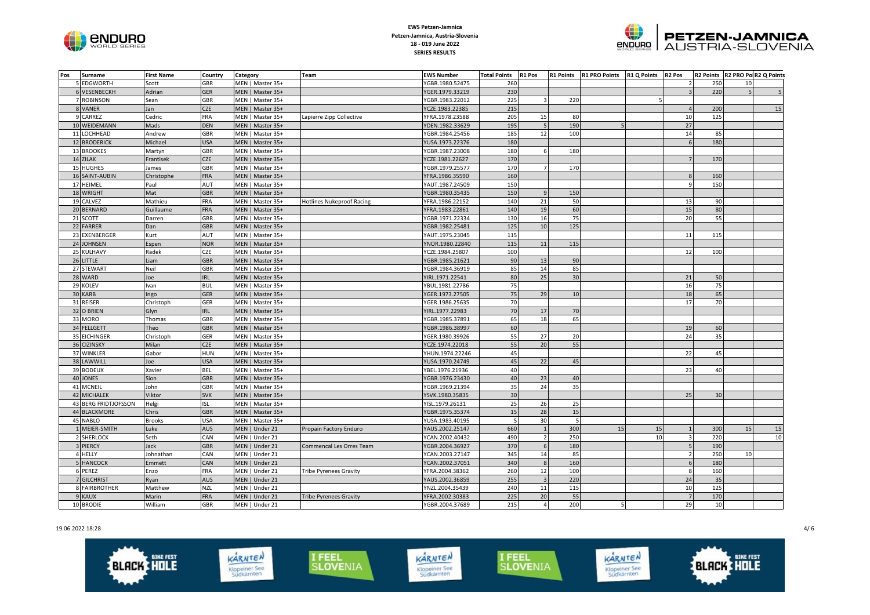



| Pos | Surname              | <b>First Name</b> | Country    | Category         | <b>Team</b>                      | <b>EWS Number</b> | <b>Total Points</b> | R1 Pos                  |     | R1 Points R1 PRO Points R1 Q Points R2 Pos |    |                |     |                | R2 Points R2 PRO Po R2 Q Points |
|-----|----------------------|-------------------|------------|------------------|----------------------------------|-------------------|---------------------|-------------------------|-----|--------------------------------------------|----|----------------|-----|----------------|---------------------------------|
|     | 5 EDGWORTH           | Scott             | GBR        | MEN   Master 35+ |                                  | YGBR.1980.52475   | 260                 |                         |     |                                            |    |                | 250 | 10             |                                 |
|     | 6 VESENBECKH         | Adrian            | <b>GER</b> | MEN   Master 35+ |                                  | YGER.1979.33219   | 230                 |                         |     |                                            |    |                | 220 | $\overline{5}$ |                                 |
|     | 7 ROBINSON           | Sean              | GBR        | MEN   Master 35+ |                                  | YGBR.1983.22012   | 225                 | $\overline{\mathbf{3}}$ | 220 |                                            | 5  |                |     |                |                                 |
|     | 8 VANER              | Jan               | <b>CZE</b> | MEN   Master 35+ |                                  | YCZE.1983.22385   | 215                 |                         |     |                                            |    |                | 200 |                | 15                              |
|     | 9 CARREZ             | Cedric            | FRA        | MEN   Master 35+ | Lapierre Zipp Collective         | YFRA.1978.23588   | 205                 | 15                      | 80  |                                            |    | 10             | 125 |                |                                 |
|     | 10 WEIDEMANN         | Mads              | DEN        | MEN   Master 35+ |                                  | YDEN.1982.33629   | 195                 | 5                       | 190 |                                            |    | 27             |     |                |                                 |
|     | 11 LOCHHEAD          | Andrew            | GBR        | MEN   Master 35+ |                                  | YGBR.1984.25456   | 185                 | 12                      | 100 |                                            |    | 14             | 85  |                |                                 |
|     | 12 BRODERICK         | Michael           | <b>USA</b> | MEN   Master 35+ |                                  | YUSA.1973.22376   | 180                 |                         |     |                                            |    | 6              | 180 |                |                                 |
|     | 13 BROOKES           | Martyn            | <b>GBR</b> | MEN   Master 35+ |                                  | YGBR.1987.23008   | 180                 | $\,$ 6                  | 180 |                                            |    |                |     |                |                                 |
|     | 14 ZILAK             | Frantisek         | <b>CZE</b> | MEN   Master 35+ |                                  | YCZE.1981.22627   | 170                 |                         |     |                                            |    |                | 170 |                |                                 |
|     | 15 HUGHES            | James             | GBR        | MEN   Master 35+ |                                  | YGBR.1979.25577   | 170                 | $7^{\circ}$             | 170 |                                            |    |                |     |                |                                 |
|     | 16 SAINT-AUBIN       | Christophe        | FRA        | MEN   Master 35+ |                                  | YFRA.1986.35590   | 160                 |                         |     |                                            |    |                | 160 |                |                                 |
|     | 17 HEIMEL            | Paul              | AUT        | MEN   Master 35+ |                                  | YAUT.1987.24509   | 150                 |                         |     |                                            |    | $\mathbf{q}$   | 150 |                |                                 |
|     | 18 WRIGHT            | Mat               | <b>GBR</b> | MEN   Master 35+ |                                  | YGBR.1980.35435   | 150                 | $\overline{9}$          | 150 |                                            |    |                |     |                |                                 |
|     | 19 CALVEZ            | Mathieu           | FRA        | MEN   Master 35+ | <b>Hotlines Nukeproof Racing</b> | YFRA.1986.22152   | 140                 | 21                      | 50  |                                            |    | 13             | 90  |                |                                 |
|     | 20 BERNARD           | Guillaume         | <b>FRA</b> | MEN   Master 35+ |                                  | YFRA.1983.22861   | 140                 | 19                      | 60  |                                            |    | 15             | 80  |                |                                 |
|     | 21 SCOTT             | Darren            | GBR        | MEN   Master 35+ |                                  | YGBR.1971.22334   | 130                 | 16                      | 75  |                                            |    | 20             | 55  |                |                                 |
|     | 22 FARRER            | Dan               | <b>GBR</b> | MEN   Master 35+ |                                  | YGBR.1982.25481   | 125                 | 10                      | 125 |                                            |    |                |     |                |                                 |
|     | 23 EXENBERGER        | Kurt              | AUT        | MEN   Master 35+ |                                  | YAUT.1975.23045   | 115                 |                         |     |                                            |    | 11             | 115 |                |                                 |
|     | 24 JOHNSEN           | Espen             | <b>NOR</b> | MEN   Master 35+ |                                  | YNOR.1980.22840   | 115                 | 11                      | 115 |                                            |    |                |     |                |                                 |
|     | 25 KULHAVY           | Radek             | CZE        | MEN   Master 35+ |                                  | YCZE.1984.25807   | 100                 |                         |     |                                            |    | 12             | 100 |                |                                 |
|     | 26 LITTLE            | Liam              | <b>GBR</b> | MEN   Master 35+ |                                  | YGBR.1985.21621   | 90                  | 13                      | 90  |                                            |    |                |     |                |                                 |
|     | 27 STEWART           | Neil              | <b>GBR</b> | MEN   Master 35+ |                                  | YGBR.1984.36919   | 85                  | 14                      | 85  |                                            |    |                |     |                |                                 |
|     | 28 WARD              | Joe               | <b>IRL</b> | MEN   Master 35+ |                                  | YIRL.1971.22541   | 80                  | 25                      | 30  |                                            |    | 21             | 50  |                |                                 |
|     | 29 KOLEV             | Ivan              | <b>BUL</b> | MEN   Master 35+ |                                  | YBUL.1981.22786   | 75                  |                         |     |                                            |    | 16             | 75  |                |                                 |
|     | 30 KARB              | Ingo              | <b>GER</b> | MEN   Master 35+ |                                  | YGER.1973.27505   | 75                  | 29                      | 10  |                                            |    | 18             | 65  |                |                                 |
|     | 31 REISER            | Christoph         | GER        | MEN   Master 35+ |                                  | YGER.1986.25635   | 70                  |                         |     |                                            |    | 17             | 70  |                |                                 |
|     | 32 O BRIEN           | Glyn              | <b>IRL</b> | MEN   Master 35+ |                                  | YIRL.1977.22983   | 70                  | 17                      | 70  |                                            |    |                |     |                |                                 |
|     | 33 MORO              | Thomas            | GBR        | MEN   Master 35+ |                                  | YGBR.1985.37891   | 65                  | 18                      | 65  |                                            |    |                |     |                |                                 |
|     | 34 FELLGETT          | Theo              | <b>GBR</b> | MEN   Master 35+ |                                  | YGBR.1986.38997   | 60                  |                         |     |                                            |    | 19             | 60  |                |                                 |
|     | 35 EICHINGER         | Christoph         | GER        | MEN   Master 35+ |                                  | YGER.1980.39926   | 55                  | 27                      | 20  |                                            |    | 24             | 35  |                |                                 |
|     | 36 CIZINSKY          | Milan             | CZE        | MEN   Master 35+ |                                  | YCZE.1974.22018   | 55                  | 20                      | 55  |                                            |    |                |     |                |                                 |
|     | 37 WINKLER           | Gabor             | <b>HUN</b> | MEN   Master 35+ |                                  | YHUN.1974.22246   | 45                  |                         |     |                                            |    | 22             | 45  |                |                                 |
|     | 38 LAWWILL           | Joe               | <b>USA</b> | MEN   Master 35+ |                                  | YUSA.1970.24749   | 45                  | 22                      | 45  |                                            |    |                |     |                |                                 |
|     | 39 BODEUX            | Xavier            | BEL        | MEN   Master 35+ |                                  | YBEL.1976.21936   | 40                  |                         |     |                                            |    | 23             | 40  |                |                                 |
|     | 40 JONES             | Sion              | <b>GBR</b> | MEN   Master 35+ |                                  | YGBR.1976.23430   | 40                  | 23                      | 40  |                                            |    |                |     |                |                                 |
|     | 41 MCNEIL            | John              | GBR        | MEN   Master 35+ |                                  | YGBR.1969.21394   | 35                  | 24                      | 35  |                                            |    |                |     |                |                                 |
|     | 42 MICHALEK          | Viktor            | <b>SVK</b> | MEN   Master 35+ |                                  | YSVK.1980.35835   | 30                  |                         |     |                                            |    | 25             | 30  |                |                                 |
|     | 43 BERG FRIDTJOFSSON | Helgi             | ISL        | MEN   Master 35+ |                                  | YISL.1979.26131   | 25                  | 26                      | 25  |                                            |    |                |     |                |                                 |
|     | 44 BLACKMORE         | Chris             | <b>GBR</b> | MEN   Master 35+ |                                  | YGBR.1975.35374   | 15                  | 28                      | 15  |                                            |    |                |     |                |                                 |
|     | 45 NABLO             | <b>Brooks</b>     | <b>USA</b> | MEN   Master 35+ |                                  | YUSA.1983.40195   | 5 <sup>1</sup>      | 30                      | 5   |                                            |    |                |     |                |                                 |
|     | 1 MEIER-SMITH        | Luke              | AUS        | MEN   Under 21   | Propain Factory Enduro           | YAUS.2002.25147   | 660                 |                         | 300 | 15                                         | 15 |                | 300 | 15             | 15                              |
|     | 2 SHERLOCK           | Seth              | CAN        | MEN   Under 21   |                                  | YCAN.2002.40432   | 490                 | $\overline{2}$          | 250 |                                            | 10 | $\mathbf{R}$   | 220 |                | 10                              |
|     | 3 PIERCY             | Jack              | <b>GBR</b> | MEN   Under 21   | Commencal Les Orres Team         | YGBR.2004.36927   | 370                 | $6\overline{6}$         | 180 |                                            |    |                | 190 |                |                                 |
|     | 4 HELLY              | Johnathan         | CAN        | MEN   Under 21   |                                  | YCAN.2003.27147   | 345                 | 14                      | 85  |                                            |    | $\overline{2}$ | 250 | 10             |                                 |
|     | 5 HANCOCK            | Emmett            | CAN        | MEN   Under 21   |                                  | YCAN.2002.37051   | 340                 | 8                       | 160 |                                            |    | 6              | 180 |                |                                 |
|     | 6 PEREZ              | Enzo              | FRA        | MEN   Under 21   | <b>Tribe Pyrenees Gravity</b>    | YFRA.2004.38362   | 260                 | 12                      | 100 |                                            |    | $\mathbf{8}$   | 160 |                |                                 |
|     | 7 GILCHRIST          | Ryan              | <b>AUS</b> | MEN   Under 21   |                                  | YAUS.2002.36859   | 255                 | $\mathbf{3}$            | 220 |                                            |    | 24             | 35  |                |                                 |
|     | 8 FAIRBROTHER        | Matthew           | <b>NZL</b> | MEN   Under 21   |                                  | YNZL.2004.35439   | 240                 | $11\,$                  | 115 |                                            |    | 10             | 125 |                |                                 |
|     | 9 KAUX               | Marin             | <b>FRA</b> | MEN   Under 21   | <b>Tribe Pyrenees Gravity</b>    | YFRA.2002.30383   | 225                 | 20                      | 55  |                                            |    | $\overline{7}$ | 170 |                |                                 |
|     | 10 BRODIE            | William           | <b>GBR</b> | MEN   Under 21   |                                  | YGBR.2004.37689   | 215                 | $\overline{4}$          | 200 | $\overline{\phantom{a}}$                   |    | 29             | 10  |                |                                 |

19.06.2022 18:28 4/ 6

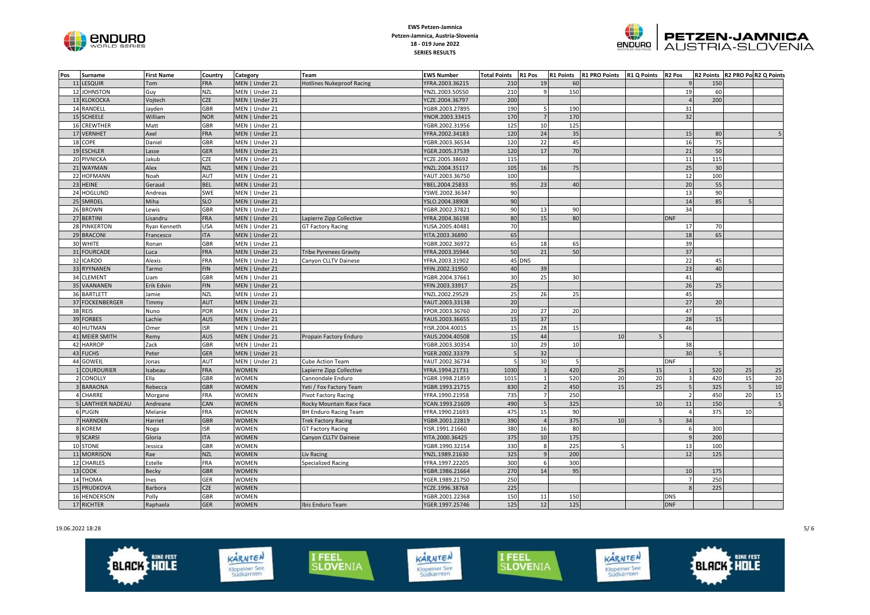



| Pos | Surname                  | <b>First Name</b> | Country    | Category       | <b>Team</b>                      | <b>EWS Number</b> | <b>Total Points</b>      | R1 Pos         | <b>R1 Points</b> | R1 PRO Points R1 Q Points |    | R <sub>2</sub> Pos |     | R2 Points R2 PRO Pol R2 Q Points |                |
|-----|--------------------------|-------------------|------------|----------------|----------------------------------|-------------------|--------------------------|----------------|------------------|---------------------------|----|--------------------|-----|----------------------------------|----------------|
|     | 11 LESQUIR               | Tom               | <b>FRA</b> | MEN   Under 21 | <b>Hotlines Nukeproof Racing</b> | YFRA.2003.36215   | 210                      | 19             | 60               |                           |    |                    | 150 |                                  |                |
|     | 12 JOHNSTON              | Guy               | NZL        | MEN   Under 21 |                                  | YNZL.2003.50550   | 210                      | 9              | 150              |                           |    | 19                 | 60  |                                  |                |
|     | 13 KLOKOCKA              | Vojtech           | <b>CZE</b> | MEN   Under 21 |                                  | YCZE.2004.36797   | 200                      |                |                  |                           |    |                    | 200 |                                  |                |
|     | 14 RANDELL               | Jayden            | <b>GBR</b> | MEN   Under 21 |                                  | YGBR.2003.27895   | 190                      | 5              | 190              |                           |    | 31                 |     |                                  |                |
|     | 15 SCHEELE               | William           | <b>NOR</b> | MEN   Under 21 |                                  | YNOR.2003.33415   | 170                      | $\overline{7}$ | 170              |                           |    | 32                 |     |                                  |                |
|     | 16 CREWTHER              | Matt              | <b>GBR</b> | MEN   Under 21 |                                  | YGBR.2002.31956   | 125                      | 10             | 125              |                           |    |                    |     |                                  |                |
|     | 17 VERNHET               | Axel              | <b>FRA</b> | MEN   Under 21 |                                  | YFRA.2002.34183   | 120                      | 24             | 35               |                           |    | 15                 | 80  |                                  |                |
|     | 18 COPE                  | Daniel            | GBR        | MEN   Under 21 |                                  | YGBR.2003.36534   | 120                      | 22             | 45               |                           |    | 16                 | 75  |                                  |                |
|     | 19 ESCHLER               | Lasse             | GER        | MEN   Under 21 |                                  | YGER.2005.37539   | 120                      | 17             | 70               |                           |    | 21                 | 50  |                                  |                |
|     | 20 PIVNICKA              | Jakub             | CZE        | MEN   Under 21 |                                  | YCZE.2005.38692   | 115                      |                |                  |                           |    | 11                 | 115 |                                  |                |
|     | 21 WAYMAN                | Alex              | <b>NZL</b> | MEN   Under 21 |                                  | YNZL.2004.35117   | 105                      | 16             | 75               |                           |    | 25                 | 30  |                                  |                |
|     | 22 HOFMANN               | Noah              | AUT        | MEN   Under 21 |                                  | YAUT.2003.36750   | 100                      |                |                  |                           |    | 12                 | 100 |                                  |                |
|     | 23 HEINE                 | Geraud            | <b>BEL</b> | MEN   Under 21 |                                  | YBEL.2004.25833   | 95                       | 23             | 40               |                           |    | 20                 | 55  |                                  |                |
|     | 24 HOGLUND               | Andreas           | SWE        | MEN   Under 21 |                                  | YSWE.2002.36347   | 90                       |                |                  |                           |    | 13                 | 90  |                                  |                |
|     | 25 SMRDEL                | Miha              | <b>SLO</b> | MEN   Under 21 |                                  | YSLO.2004.38908   | 90                       |                |                  |                           |    | 14                 | 85  |                                  |                |
|     | 26 BROWN                 | Lewis             | <b>GBR</b> | MEN   Under 21 |                                  | YGBR.2002.37821   | 90                       | 13             | 90               |                           |    | 34                 |     |                                  |                |
|     | 27 BERTINI               | Lisandru          | <b>FRA</b> | MEN   Under 21 | Lapierre Zipp Collective         | YFRA.2004.36198   | 80                       | 15             | 80               |                           |    | <b>DNF</b>         |     |                                  |                |
|     | 28 PINKERTON             | Ryan Kenneth      | USA        | MEN   Under 21 | <b>GT Factory Racing</b>         | YUSA.2005.40481   | 70                       |                |                  |                           |    | 17                 | 70  |                                  |                |
|     | 29 BRACONI               | Francesco         | <b>ITA</b> | MEN   Under 21 |                                  | YITA.2003.36890   | 65                       |                |                  |                           |    | 18                 | 65  |                                  |                |
|     | 30 WHITE                 | Ronan             | GBR        | MEN   Under 21 |                                  | YGBR.2002.36972   | 65                       | 18             | 65               |                           |    | 39                 |     |                                  |                |
|     | 31 FOURCADE              | Luca              | <b>FRA</b> | MEN   Under 21 | <b>Tribe Pyrenees Gravity</b>    | YFRA.2003.35944   | 50                       | 21             | 50               |                           |    | 37                 |     |                                  |                |
|     | 32 ICARDO                | Alexis            | FRA        | MEN   Under 21 | Canyon CLLTV Dainese             | YFRA.2003.31902   |                          | 45 DNS         |                  |                           |    | 22                 | 45  |                                  |                |
|     | 33 RYYNANEN              | Tarmo             | <b>FIN</b> | MEN   Under 21 |                                  | YFIN.2002.31950   | 40                       | 39             |                  |                           |    | 23                 | 40  |                                  |                |
|     | 34 CLEMENT               | Liam              | GBR        | MEN   Under 21 |                                  | YGBR.2004.37661   | 30                       | 25             | 30               |                           |    | 41                 |     |                                  |                |
|     | 35 VAANANEN              | Erik Edvin        | <b>FIN</b> | MEN   Under 21 |                                  | YFIN.2003.33917   | 25                       |                |                  |                           |    | 26                 | 25  |                                  |                |
|     | 36 BARTLETT              | Jamie             | <b>NZL</b> | MEN   Under 21 |                                  | YNZL.2002.29529   | 25                       | 26             | 25               |                           |    | 45                 |     |                                  |                |
|     | 37 FOCKENBERGER          | Timmy             | <b>AUT</b> | MEN   Under 21 |                                  | YAUT.2003.33138   | 20                       |                |                  |                           |    | 27                 | 20  |                                  |                |
|     | 38 REIS                  | Nuno              | POR        | MEN   Under 21 |                                  | YPOR.2003.36760   | 20                       | 27             | 20               |                           |    | 47                 |     |                                  |                |
|     | 39 FORBES                | Lachie            | <b>AUS</b> | MEN   Under 21 |                                  | YAUS.2003.36655   | 15                       | 37             |                  |                           |    | 28                 | 15  |                                  |                |
|     | 40 HUTMAN                | Omer              | <b>ISR</b> | MEN   Under 21 |                                  | YISR.2004.40015   | 15                       | 28             | 15               |                           |    | 46                 |     |                                  |                |
|     | 41 MEIER SMITH           | Remy              | <b>AUS</b> | MEN   Under 21 | Propain Factory Enduro           | YAUS.2004.40508   | 15                       | 44             |                  | 10                        |    |                    |     |                                  |                |
|     | 42 HARROP                | Zack              | <b>GBR</b> | MEN   Under 21 |                                  | YGBR.2003.30354   | 10                       | 29             | 10               |                           |    | 38                 |     |                                  |                |
|     | 43 FUCHS                 | Peter             | GER        | MEN   Under 21 |                                  | YGER.2002.33379   | $\overline{\phantom{a}}$ | 32             |                  |                           |    | 30                 |     |                                  |                |
|     | 44 GOWEII                | Jonas             | AUT        | MEN   Under 21 | <b>Cube Action Team</b>          | YAUT.2002.36734   |                          | 30             | 5                |                           |    | <b>DNF</b>         |     |                                  |                |
|     | 1 COURDURIER             | Isabeau           | <b>FRA</b> | WOMEN          | Lapierre Zipp Collective         | YFRA.1994.21731   | 1030                     | $\overline{3}$ | 420              | 25                        | 15 |                    | 520 | 25                               | 25             |
|     | 2 CONOLLY                | Ella              | GBR        | WOMEN          | Cannondale Enduro                | YGBR.1998.21859   | 1015                     | $\mathbf{1}$   | 520              | 20                        | 20 | $\overline{3}$     | 420 | 15                               | 20             |
|     | 3 BARAONA                | Rebecca           | <b>GBR</b> | <b>WOMEN</b>   | Yeti / Fox Factory Team          | YGBR.1993.21715   | 830                      | $\overline{2}$ | 450              | 15                        | 25 | 5                  | 325 | $\overline{5}$                   | 10             |
|     | 4 CHARRE                 | Morgane           | FRA        | WOMEN          | <b>Pivot Factory Racing</b>      | YFRA.1990.21958   | 735                      | $\overline{7}$ | 250              |                           |    |                    | 450 | 20                               | 15             |
|     | <b>5 LANTHIER NADEAU</b> | Andreane          | CAN        | <b>WOMEN</b>   | Rocky Mountain Race Face         | YCAN.1993.21609   | 490                      |                | 325              |                           | 10 | 11                 | 150 |                                  | $\overline{5}$ |
|     | 6 PUGIN                  | Melanie           | <b>FRA</b> | <b>WOMEN</b>   | <b>BH Enduro Racing Team</b>     | YFRA.1990.21693   | 475                      | 15             | 90               |                           |    |                    | 375 | 10                               |                |
|     | 7 HARNDEN                | Harriet           | <b>GBR</b> | <b>WOMEN</b>   | <b>Trek Factory Racing</b>       | YGBR.2001.22819   | 390                      |                | 375              | 10                        |    | 34                 |     |                                  |                |
|     | 8 KOREM                  | Noga              | <b>ISR</b> | WOMEN          | <b>GT Factory Racing</b>         | YISR.1991.21660   | 380                      | 16             | 80               |                           |    | 6                  | 300 |                                  |                |
|     | 9 SCARSI                 | Gloria            | <b>ITA</b> | <b>WOMEN</b>   | Canyon CLLTV Dainese             | YITA.2000.36425   | 375                      | 10             | 175              |                           |    | $\mathsf{Q}$       | 200 |                                  |                |
|     | 10 STONE                 | Jessica           | GBR        | WOMEN          |                                  | YGBR.1990.32154   | 330                      | $\bf8$         | 225              |                           |    | 13                 | 100 |                                  |                |
|     | 11 MORRISON              | Rae               | <b>NZL</b> | <b>WOMEN</b>   | Liv Racing                       | YNZL.1989.21630   | 325                      | $\overline{9}$ | 200              |                           |    | 12                 | 125 |                                  |                |
|     | 12 CHARLES               | Estelle           | FRA        | WOMEN          | Specialized Racing               | YFRA.1997.22205   | 300                      | 6              | 300              |                           |    |                    |     |                                  |                |
|     | 13 COOK                  | Becky             | <b>GBR</b> | <b>WOMEN</b>   |                                  | YGBR.1986.21664   | 270                      | 14             | 95               |                           |    | 10                 | 175 |                                  |                |
|     | 14 THOMA                 | Ines              | GER        | WOMEN          |                                  | YGER.1989.21750   | 250                      |                |                  |                           |    |                    | 250 |                                  |                |
|     | 15 PRUDKOVA              | Barbora           | <b>CZE</b> | <b>WOMEN</b>   |                                  | YCZE.1996.38768   | 225                      |                |                  |                           |    |                    | 225 |                                  |                |
|     | 16 HENDERSON             | Polly             | GBR        | <b>WOMEN</b>   |                                  | YGBR.2001.22368   | 150                      | 11             | 150              |                           |    | <b>DNS</b>         |     |                                  |                |
|     | 17 RICHTER               | Raphaela          | <b>GER</b> | <b>WOMEN</b>   | Ibis Enduro Team                 | YGER.1997.25746   | 125                      | 12             | 125              |                           |    | <b>DNF</b>         |     |                                  |                |

19.06.2022 18:28 5/ 6